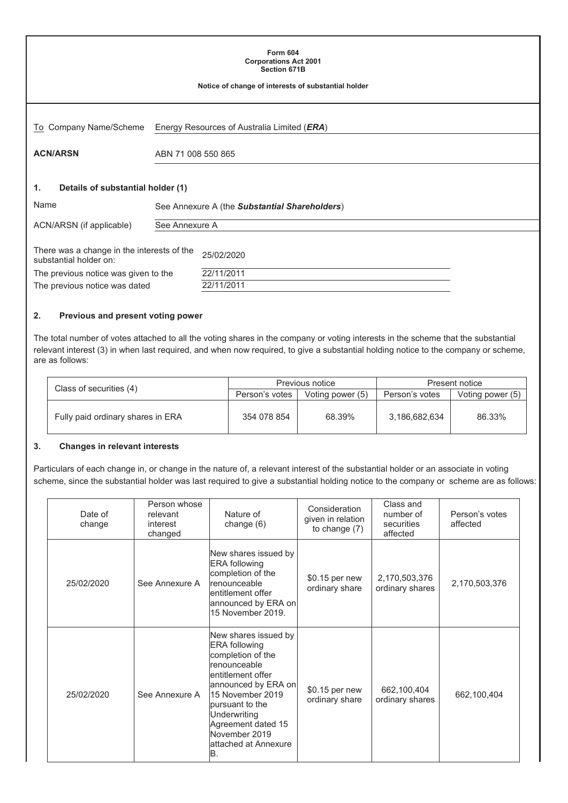| <b>Form 604</b><br><b>Corporations Act 2001</b><br><b>Section 671B</b><br>Notice of change of interests of substantial holder |                                               |  |  |
|-------------------------------------------------------------------------------------------------------------------------------|-----------------------------------------------|--|--|
| To Company Name/Scheme                                                                                                        | Energy Resources of Australia Limited (ERA)   |  |  |
| <b>ACN/ARSN</b>                                                                                                               | ABN 71 008 550 865                            |  |  |
| Details of substantial holder (1)<br>1.<br>Name                                                                               | See Annexure A (the Substantial Shareholders) |  |  |
| ACN/ARSN (if applicable)                                                                                                      | See Annexure A                                |  |  |
| There was a change in the interests of the<br>25/02/2020<br>substantial holder on:                                            |                                               |  |  |
| The previous notice was given to the<br>The previous notice was dated                                                         | 22/11/2011<br>22/11/2011                      |  |  |

#### **2. Previous and present voting power**

The total number of votes attached to all the voting shares in the company or voting interests in the scheme that the substantial relevant interest (3) in when last required, and when now required, to give a substantial holding notice to the company or scheme, are as follows:

|                                   |                | Previous notice  | Present notice |                  |  |
|-----------------------------------|----------------|------------------|----------------|------------------|--|
| Class of securities (4)           | Person's votes | Voting power (5) | Person's votes | Voting power (5) |  |
| Fully paid ordinary shares in ERA | 354 078 854    | 68.39%           | 3,186,682,634  | 86.33%           |  |

#### **3. Changes in relevant interests**

Particulars of each change in, or change in the nature of, a relevant interest of the substantial holder or an associate in voting scheme, since the substantial holder was last required to give a substantial holding notice to the company or scheme are as follows:

| Date of<br>change | Person whose<br>relevant<br>interest<br>changed | Nature of<br>change (6)                                                                                                                                                                                                                                            | Consideration<br>given in relation<br>to change (7) | Class and<br>number of<br>securities<br>affected | Person's votes<br>affected |
|-------------------|-------------------------------------------------|--------------------------------------------------------------------------------------------------------------------------------------------------------------------------------------------------------------------------------------------------------------------|-----------------------------------------------------|--------------------------------------------------|----------------------------|
| 25/02/2020        | See Annexure A                                  | New shares issued by<br><b>ERA</b> following<br>completion of the<br><b>renounceable</b><br>lentitlement offer<br>announced by ERA on<br>15 November 2019.                                                                                                         | \$0.15 per new<br>ordinary share                    | 2,170,503,376<br>ordinary shares                 | 2,170,503,376              |
| 25/02/2020        | See Annexure A                                  | New shares issued by<br><b>ERA</b> following<br>completion of the<br><b>renounceable</b><br>lentitlement offer<br>announced by ERA on<br>15 November 2019<br>pursuant to the<br>Underwriting<br>Agreement dated 15<br>November 2019<br>lattached at Annexure<br>B. | $$0.15$ per new<br>ordinary share                   | 662,100,404<br>ordinary shares                   | 662,100,404                |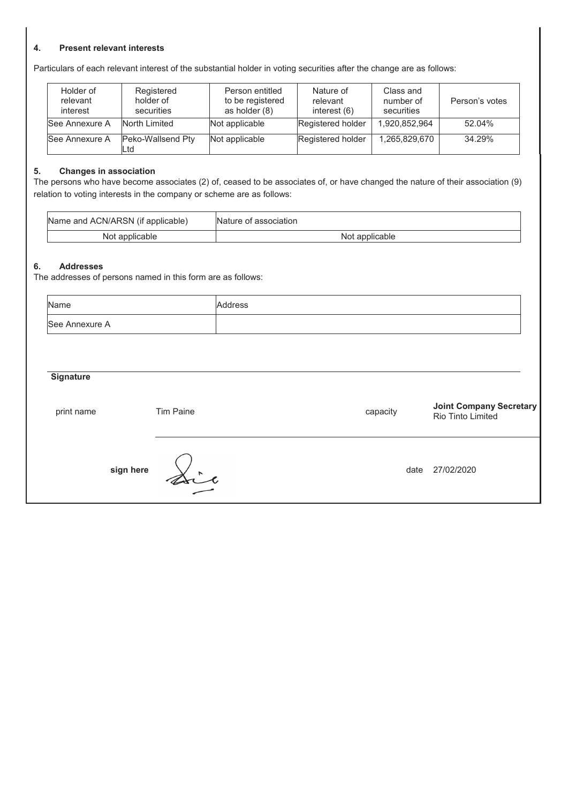#### **4. Present relevant interests**

Particulars of each relevant interest of the substantial holder in voting securities after the change are as follows:

| Holder of<br>relevant<br>interest | Registered<br>holder of<br>securities | Person entitled<br>to be registered<br>as holder (8) | Nature of<br>relevant<br>interest $(6)$ | Class and<br>number of<br>securities | Person's votes |
|-----------------------------------|---------------------------------------|------------------------------------------------------|-----------------------------------------|--------------------------------------|----------------|
| <b>See Annexure A</b>             | North Limited                         | Not applicable                                       | Registered holder                       | 1.920.852.964                        | 52.04%         |
| <b>See Annexure A</b>             | Peko-Wallsend Pty<br>Ltd              | Not applicable                                       | Registered holder                       | 1,265,829,670                        | 34.29%         |

#### **5. Changes in association**

The persons who have become associates (2) of, ceased to be associates of, or have changed the nature of their association (9) relation to voting interests in the company or scheme are as follows:

| Name and ACN/ARSN (if applicable) | Nature of association |
|-----------------------------------|-----------------------|
| Not applicable                    | Not applicable        |

### **6. Addresses**

The addresses of persons named in this form are as follows:

| Name             |           | Address  |      |                                                     |
|------------------|-----------|----------|------|-----------------------------------------------------|
| See Annexure A   |           |          |      |                                                     |
|                  |           |          |      |                                                     |
| <b>Signature</b> |           |          |      |                                                     |
| print name       | Tim Paine | capacity |      | <b>Joint Company Secretary</b><br>Rio Tinto Limited |
| sign here        | Sir       |          | date | 27/02/2020                                          |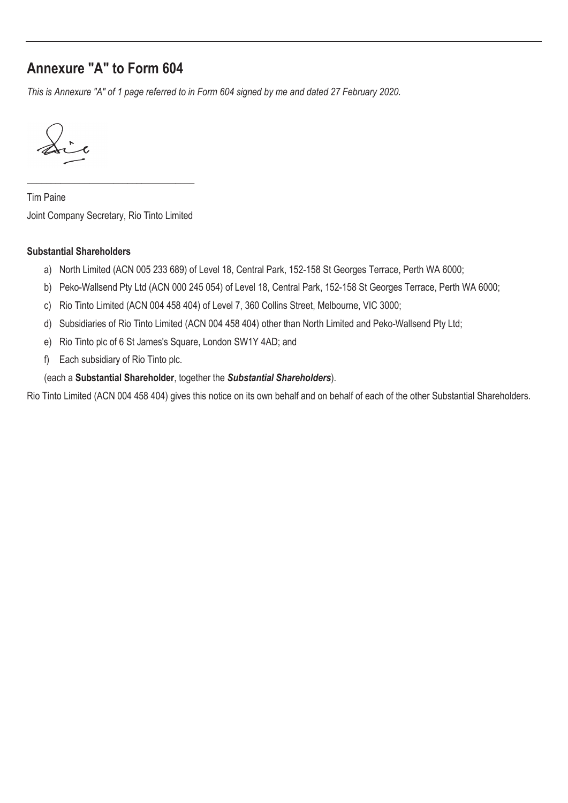# **Annexure "A" to Form 604**

*This is Annexure "A" of 1 page referred to in Form 604 signed by me and dated 27 February 2020.* 

Sir

Tim Paine Joint Company Secretary, Rio Tinto Limited

\_\_\_\_\_\_\_\_\_\_\_\_\_\_\_\_\_\_\_\_\_\_\_\_\_\_\_\_\_\_\_\_\_\_\_

## **Substantial Shareholders**

- a) North Limited (ACN 005 233 689) of Level 18, Central Park, 152-158 St Georges Terrace, Perth WA 6000;
- b) Peko-Wallsend Pty Ltd (ACN 000 245 054) of Level 18, Central Park, 152-158 St Georges Terrace, Perth WA 6000;
- c) Rio Tinto Limited (ACN 004 458 404) of Level 7, 360 Collins Street, Melbourne, VIC 3000;
- d) Subsidiaries of Rio Tinto Limited (ACN 004 458 404) other than North Limited and Peko-Wallsend Pty Ltd;
- e) Rio Tinto plc of 6 St James's Square, London SW1Y 4AD; and
- f) Each subsidiary of Rio Tinto plc.

## (each a **Substantial Shareholder**, together the *Substantial Shareholders*).

Rio Tinto Limited (ACN 004 458 404) gives this notice on its own behalf and on behalf of each of the other Substantial Shareholders.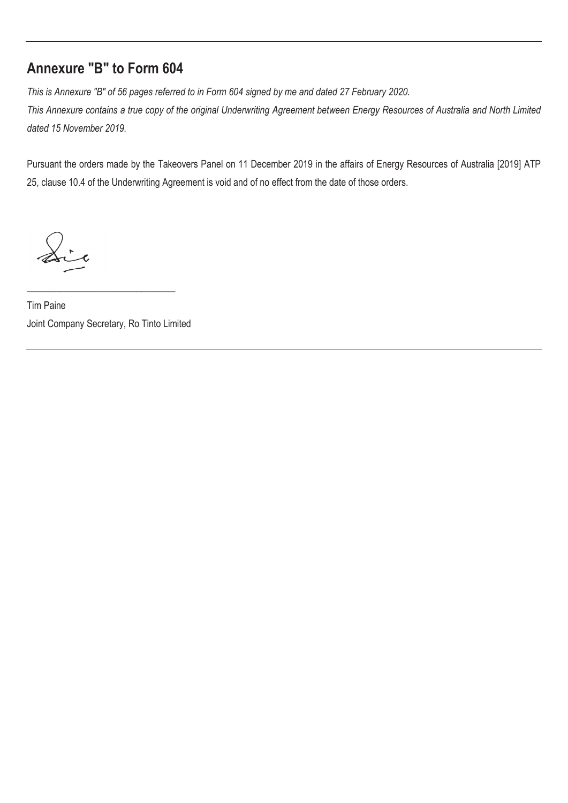## **Annexure "B" to Form 604**

*This is Annexure "B" of 56 pages referred to in Form 604 signed by me and dated 27 February 2020.* 

*This Annexure contains a true copy of the original Underwriting Agreement between Energy Resources of Australia and North Limited dated 15 November 2019.* 

Pursuant the orders made by the Takeovers Panel on 11 December 2019 in the affairs of Energy Resources of Australia [2019] ATP 25, clause 10.4 of the Underwriting Agreement is void and of no effect from the date of those orders.

Sir

Tim Paine Joint Company Secretary, Ro Tinto Limited

\_\_\_\_\_\_\_\_\_\_\_\_\_\_\_\_\_\_\_\_\_\_\_\_\_\_\_\_\_\_\_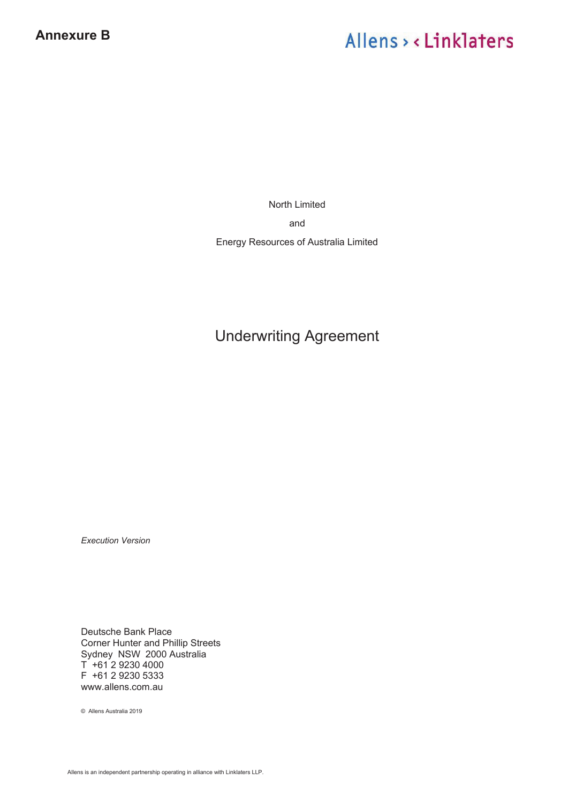# Allens > < Linklaters

North Limited and Energy Resources of Australia Limited

# Underwriting Agreement

*Execution Version* 

Deutsche Bank Place Corner Hunter and Phillip Streets Sydney NSW 2000 Australia  $T + 61 2 9230 4000$ F +61 2 9230 5333 www.allens.com.au

© Allens Australia 2019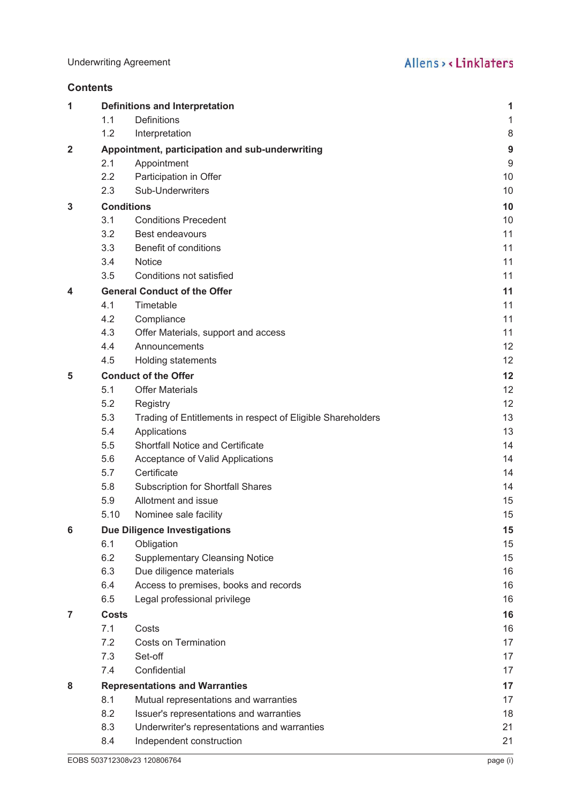**Contents**

| 1 |              | <b>Definitions and Interpretation</b>                       | 1                |
|---|--------------|-------------------------------------------------------------|------------------|
|   | 1.1          | <b>Definitions</b>                                          | 1                |
|   | 1.2          | Interpretation                                              | 8                |
| 2 |              | Appointment, participation and sub-underwriting             | $\boldsymbol{9}$ |
|   | 2.1          | Appointment                                                 | 9                |
|   | 2.2          | Participation in Offer                                      | 10               |
|   | 2.3          | Sub-Underwriters                                            | 10               |
| 3 |              | <b>Conditions</b>                                           | 10               |
|   | 3.1          | <b>Conditions Precedent</b>                                 | 10               |
|   | 3.2          | <b>Best endeavours</b>                                      | 11               |
|   | 3.3          | Benefit of conditions                                       | 11               |
|   | 3.4          | Notice                                                      | 11               |
|   | 3.5          | Conditions not satisfied                                    | 11               |
| 4 |              | <b>General Conduct of the Offer</b>                         | 11               |
|   | 4.1          | Timetable                                                   | 11               |
|   | 4.2          | Compliance                                                  | 11               |
|   | 4.3          | Offer Materials, support and access                         | 11               |
|   | 4.4          | Announcements                                               | 12               |
|   | 4.5          | <b>Holding statements</b>                                   | 12               |
| 5 |              | <b>Conduct of the Offer</b>                                 | 12               |
|   | 5.1          | <b>Offer Materials</b>                                      | 12               |
|   | 5.2          | Registry                                                    | 12               |
|   | 5.3          | Trading of Entitlements in respect of Eligible Shareholders | 13               |
|   | 5.4          | Applications                                                | 13               |
|   | 5.5          | <b>Shortfall Notice and Certificate</b>                     | 14               |
|   | 5.6          | Acceptance of Valid Applications                            | 14               |
|   | 5.7          | Certificate                                                 | 14               |
|   | 5.8          | <b>Subscription for Shortfall Shares</b>                    | 14               |
|   | 5.9          | Allotment and issue                                         | 15               |
|   | 5.10         | Nominee sale facility                                       | 15               |
| 6 |              | <b>Due Diligence Investigations</b>                         | 15               |
|   | 6.1          | Obligation                                                  | 15               |
|   | 6.2          | <b>Supplementary Cleansing Notice</b>                       | 15               |
|   | 6.3          | Due diligence materials                                     | 16               |
|   | 6.4          | Access to premises, books and records                       | 16               |
|   | 6.5          | Legal professional privilege                                | 16               |
| 7 | <b>Costs</b> |                                                             | 16               |
|   | 7.1          | Costs                                                       | 16               |
|   | 7.2          | <b>Costs on Termination</b>                                 | 17               |
|   | 7.3          | Set-off                                                     | 17               |
|   | 7.4          | Confidential                                                | 17               |
| 8 |              | <b>Representations and Warranties</b>                       | 17               |
|   | 8.1          | Mutual representations and warranties                       | 17               |
|   | 8.2          | Issuer's representations and warranties                     | 18               |
|   | 8.3          | Underwriter's representations and warranties                | 21               |
|   | 8.4          | Independent construction                                    | 21               |
|   |              |                                                             |                  |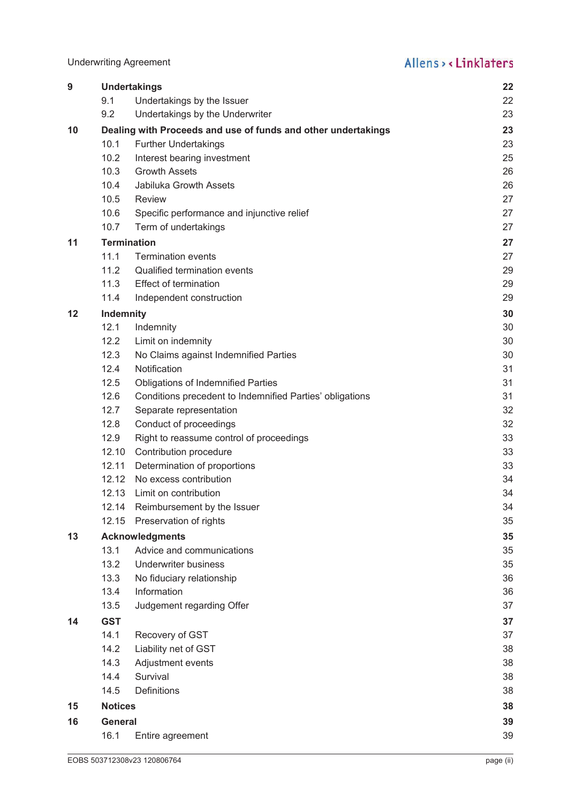Underwriting Agreement

| 9  |                    | <b>Undertakings</b>                                           | 22 |  |
|----|--------------------|---------------------------------------------------------------|----|--|
|    | 9.1                | Undertakings by the Issuer                                    | 22 |  |
|    | 9.2                | Undertakings by the Underwriter                               | 23 |  |
| 10 |                    | Dealing with Proceeds and use of funds and other undertakings | 23 |  |
|    | 10.1               | Further Undertakings                                          | 23 |  |
|    | 10.2               | Interest bearing investment                                   | 25 |  |
|    | 10.3               | <b>Growth Assets</b>                                          | 26 |  |
|    | 10.4               | Jabiluka Growth Assets                                        | 26 |  |
|    | 10.5               | Review                                                        | 27 |  |
|    | 10.6               | Specific performance and injunctive relief                    | 27 |  |
|    | 10.7               | Term of undertakings                                          | 27 |  |
| 11 | <b>Termination</b> |                                                               | 27 |  |
|    | 11.1               | <b>Termination events</b>                                     | 27 |  |
|    | 11.2               | Qualified termination events                                  | 29 |  |
|    | 11.3               | <b>Effect of termination</b>                                  | 29 |  |
|    | 11.4               | Independent construction                                      | 29 |  |
| 12 | Indemnity          |                                                               | 30 |  |
|    | 12.1               | Indemnity                                                     | 30 |  |
|    | 12.2               | Limit on indemnity                                            | 30 |  |
|    | 12.3               | No Claims against Indemnified Parties                         | 30 |  |
|    | 12.4               | Notification                                                  | 31 |  |
|    | 12.5               | <b>Obligations of Indemnified Parties</b>                     | 31 |  |
|    | 12.6               | Conditions precedent to Indemnified Parties' obligations      | 31 |  |
|    | 12.7               | Separate representation                                       | 32 |  |
|    | 12.8               | Conduct of proceedings                                        | 32 |  |
|    | 12.9               | Right to reassume control of proceedings                      | 33 |  |
|    | 12.10              | Contribution procedure                                        | 33 |  |
|    | 12.11              | Determination of proportions                                  | 33 |  |
|    |                    | 12.12 No excess contribution                                  | 34 |  |
|    | 12.13              | Limit on contribution                                         | 34 |  |
|    |                    | 12.14 Reimbursement by the Issuer                             | 34 |  |
|    | 12.15              | Preservation of rights                                        | 35 |  |
| 13 |                    | <b>Acknowledgments</b>                                        | 35 |  |
|    | 13.1               | Advice and communications                                     | 35 |  |
|    | 13.2               | <b>Underwriter business</b>                                   | 35 |  |
|    | 13.3               | No fiduciary relationship                                     | 36 |  |
|    | 13.4               | Information                                                   | 36 |  |
|    | 13.5               | Judgement regarding Offer                                     | 37 |  |
| 14 | <b>GST</b>         |                                                               | 37 |  |
|    | 14.1               | Recovery of GST                                               | 37 |  |
|    | 14.2               | Liability net of GST                                          | 38 |  |
|    | 14.3               | Adjustment events                                             | 38 |  |
|    | 14.4               | Survival                                                      | 38 |  |
|    | 14.5               | <b>Definitions</b>                                            | 38 |  |
| 15 | <b>Notices</b>     |                                                               | 38 |  |
| 16 | General            |                                                               |    |  |
|    | 16.1               | Entire agreement                                              | 39 |  |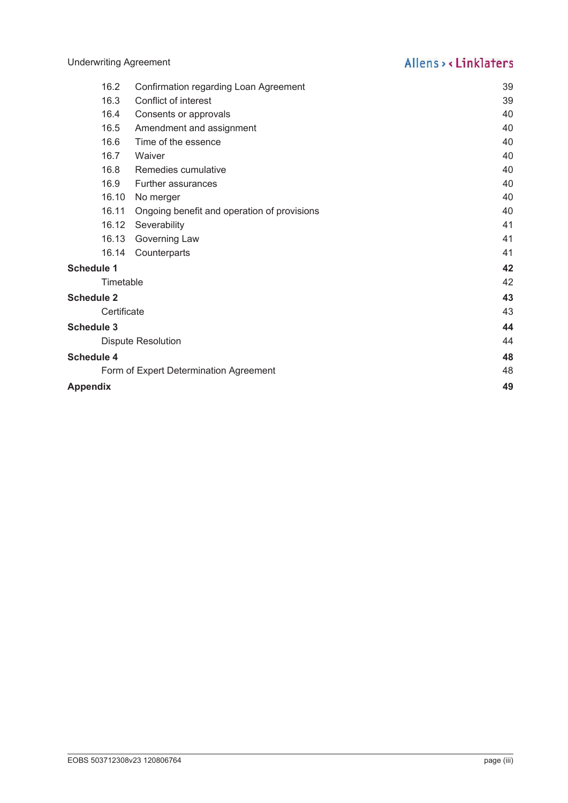|          | 16.2              | Confirmation regarding Loan Agreement       | 39 |
|----------|-------------------|---------------------------------------------|----|
|          | 16.3              | Conflict of interest                        | 39 |
|          | 16.4              | Consents or approvals                       | 40 |
|          | 16.5              | Amendment and assignment                    | 40 |
|          | 16.6              | Time of the essence                         | 40 |
|          | 16.7              | Waiver                                      | 40 |
|          | 16.8              | Remedies cumulative                         | 40 |
|          | 16.9              | <b>Further assurances</b>                   | 40 |
|          | 16.10             | No merger                                   | 40 |
|          | 16.11             | Ongoing benefit and operation of provisions | 40 |
|          | 16.12             | Severability                                | 41 |
|          | 16.13             | Governing Law                               | 41 |
|          | 16.14             | Counterparts                                | 41 |
|          | <b>Schedule 1</b> |                                             | 42 |
|          | Timetable         |                                             | 42 |
|          | <b>Schedule 2</b> |                                             | 43 |
|          | Certificate       |                                             | 43 |
|          | <b>Schedule 3</b> |                                             | 44 |
|          |                   | <b>Dispute Resolution</b>                   | 44 |
|          | <b>Schedule 4</b> |                                             | 48 |
|          |                   | Form of Expert Determination Agreement      | 48 |
| Appendix |                   |                                             | 49 |
|          |                   |                                             |    |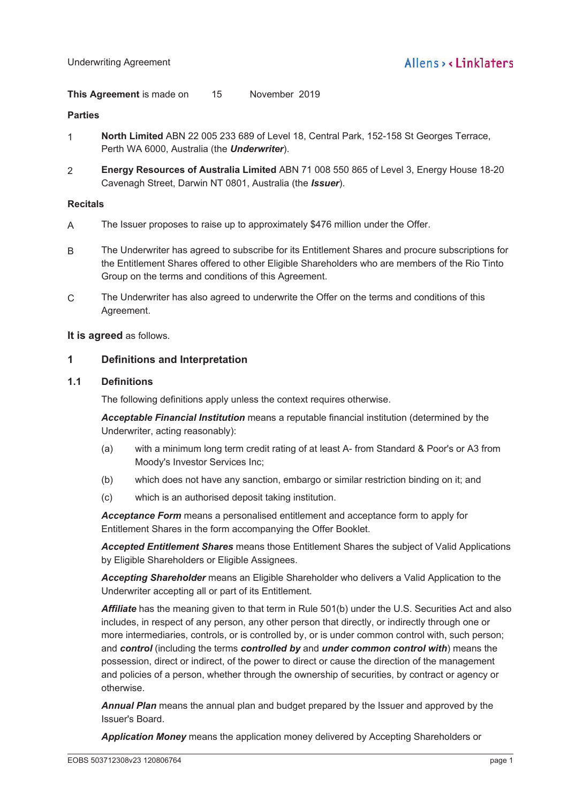**This Agreement** is made on 15 November 2019 15

## **Parties**

- 1 **North Limited** ABN 22 005 233 689 of Level 18, Central Park, 152-158 St Georges Terrace, Perth WA 6000, Australia (the *Underwriter*).
- 2 **Energy Resources of Australia Limited** ABN 71 008 550 865 of Level 3, Energy House 18-20 Cavenagh Street, Darwin NT 0801, Australia (the *Issuer*).

## **Recitals**

- A The Issuer proposes to raise up to approximately \$476 million under the Offer.
- B The Underwriter has agreed to subscribe for its Entitlement Shares and procure subscriptions for the Entitlement Shares offered to other Eligible Shareholders who are members of the Rio Tinto Group on the terms and conditions of this Agreement.
- C The Underwriter has also agreed to underwrite the Offer on the terms and conditions of this Agreement.

## **It is agreed** as follows.

## **1 Definitions and Interpretation**

## **1.1 Definitions**

The following definitions apply unless the context requires otherwise.

*Acceptable Financial Institution* means a reputable financial institution (determined by the Underwriter, acting reasonably):

- (a) with a minimum long term credit rating of at least A- from Standard & Poor's or A3 from Moody's Investor Services Inc;
- (b) which does not have any sanction, embargo or similar restriction binding on it; and
- (c) which is an authorised deposit taking institution.

*Acceptance Form* means a personalised entitlement and acceptance form to apply for Entitlement Shares in the form accompanying the Offer Booklet.

*Accepted Entitlement Shares* means those Entitlement Shares the subject of Valid Applications by Eligible Shareholders or Eligible Assignees.

*Accepting Shareholder* means an Eligible Shareholder who delivers a Valid Application to the Underwriter accepting all or part of its Entitlement.

*Affiliate* has the meaning given to that term in Rule 501(b) under the U.S. Securities Act and also includes, in respect of any person, any other person that directly, or indirectly through one or more intermediaries, controls, or is controlled by, or is under common control with, such person; and *control* (including the terms *controlled by* and *under common control with*) means the possession, direct or indirect, of the power to direct or cause the direction of the management and policies of a person, whether through the ownership of securities, by contract or agency or otherwise.

*Annual Plan* means the annual plan and budget prepared by the Issuer and approved by the Issuer's Board.

*Application Money* means the application money delivered by Accepting Shareholders or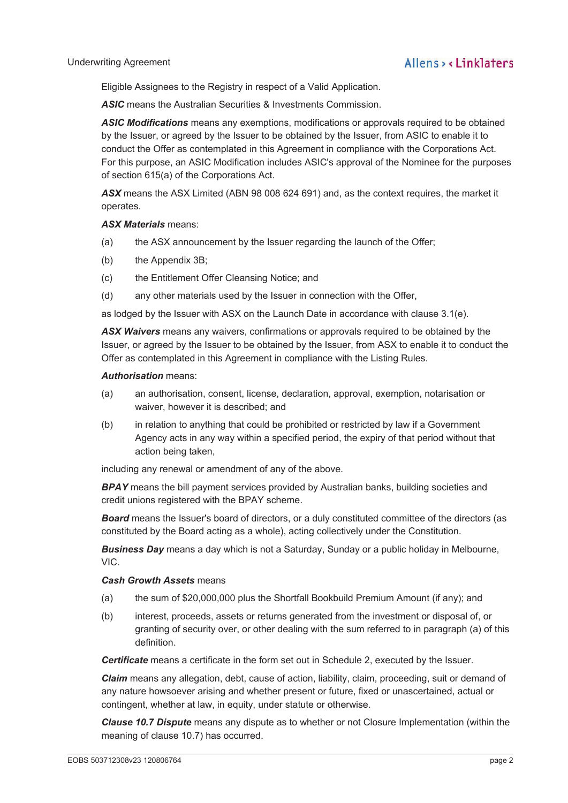Eligible Assignees to the Registry in respect of a Valid Application.

**ASIC** means the Australian Securities & Investments Commission.

*ASIC Modifications* means any exemptions, modifications or approvals required to be obtained by the Issuer, or agreed by the Issuer to be obtained by the Issuer, from ASIC to enable it to conduct the Offer as contemplated in this Agreement in compliance with the Corporations Act. For this purpose, an ASIC Modification includes ASIC's approval of the Nominee for the purposes of section 615(a) of the Corporations Act.

*ASX* means the ASX Limited (ABN 98 008 624 691) and, as the context requires, the market it operates.

### *ASX Materials* means:

- (a) the ASX announcement by the Issuer regarding the launch of the Offer;
- (b) the Appendix 3B;
- (c) the Entitlement Offer Cleansing Notice; and
- (d) any other materials used by the Issuer in connection with the Offer,

as lodged by the Issuer with ASX on the Launch Date in accordance with clause 3.1(e).

*ASX Waivers* means any waivers, confirmations or approvals required to be obtained by the Issuer, or agreed by the Issuer to be obtained by the Issuer, from ASX to enable it to conduct the Offer as contemplated in this Agreement in compliance with the Listing Rules.

### *Authorisation* means:

- (a) an authorisation, consent, license, declaration, approval, exemption, notarisation or waiver, however it is described; and
- (b) in relation to anything that could be prohibited or restricted by law if a Government Agency acts in any way within a specified period, the expiry of that period without that action being taken,

including any renewal or amendment of any of the above.

**BPAY** means the bill payment services provided by Australian banks, building societies and credit unions registered with the BPAY scheme.

**Board** means the Issuer's board of directors, or a duly constituted committee of the directors (as constituted by the Board acting as a whole), acting collectively under the Constitution.

*Business Day* means a day which is not a Saturday, Sunday or a public holiday in Melbourne, VIC.

## *Cash Growth Assets* means

- (a) the sum of \$20,000,000 plus the Shortfall Bookbuild Premium Amount (if any); and
- (b) interest, proceeds, assets or returns generated from the investment or disposal of, or granting of security over, or other dealing with the sum referred to in paragraph (a) of this definition.

*Certificate* means a certificate in the form set out in Schedule 2, executed by the Issuer.

*Claim* means any allegation, debt, cause of action, liability, claim, proceeding, suit or demand of any nature howsoever arising and whether present or future, fixed or unascertained, actual or contingent, whether at law, in equity, under statute or otherwise.

*Clause 10.7 Dispute* means any dispute as to whether or not Closure Implementation (within the meaning of clause 10.7) has occurred.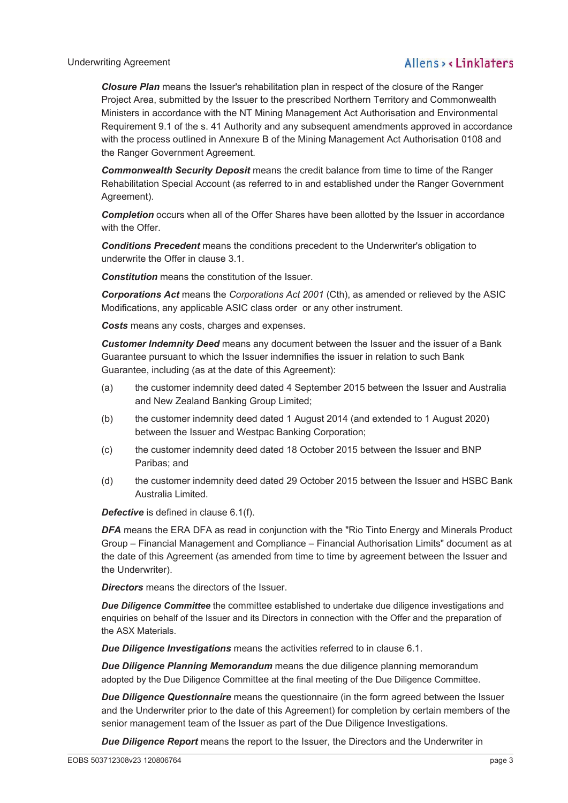#### Underwriting Agreement

## Allens, linklaters

*Closure Plan* means the Issuer's rehabilitation plan in respect of the closure of the Ranger Project Area, submitted by the Issuer to the prescribed Northern Territory and Commonwealth Ministers in accordance with the NT Mining Management Act Authorisation and Environmental Requirement 9.1 of the s. 41 Authority and any subsequent amendments approved in accordance with the process outlined in Annexure B of the Mining Management Act Authorisation 0108 and the Ranger Government Agreement.

*Commonwealth Security Deposit* means the credit balance from time to time of the Ranger Rehabilitation Special Account (as referred to in and established under the Ranger Government Agreement).

**Completion** occurs when all of the Offer Shares have been allotted by the Issuer in accordance with the Offer.

*Conditions Precedent* means the conditions precedent to the Underwriter's obligation to underwrite the Offer in clause 3.1.

*Constitution* means the constitution of the Issuer.

*Corporations Act* means the *Corporations Act 2001* (Cth), as amended or relieved by the ASIC Modifications, any applicable ASIC class order or any other instrument.

*Costs* means any costs, charges and expenses.

*Customer Indemnity Deed* means any document between the Issuer and the issuer of a Bank Guarantee pursuant to which the Issuer indemnifies the issuer in relation to such Bank Guarantee, including (as at the date of this Agreement):

- (a) the customer indemnity deed dated 4 September 2015 between the Issuer and Australia and New Zealand Banking Group Limited;
- (b) the customer indemnity deed dated 1 August 2014 (and extended to 1 August 2020) between the Issuer and Westpac Banking Corporation;
- (c) the customer indemnity deed dated 18 October 2015 between the Issuer and BNP Paribas; and
- (d) the customer indemnity deed dated 29 October 2015 between the Issuer and HSBC Bank Australia Limited.

*Defective* is defined in clause 6.1(f).

*DFA* means the ERA DFA as read in conjunction with the "Rio Tinto Energy and Minerals Product Group – Financial Management and Compliance – Financial Authorisation Limits" document as at the date of this Agreement (as amended from time to time by agreement between the Issuer and the Underwriter).

*Directors* means the directors of the Issuer.

**Due Diligence Committee** the committee established to undertake due diligence investigations and enquiries on behalf of the Issuer and its Directors in connection with the Offer and the preparation of the ASX Materials.

*Due Diligence Investigations* means the activities referred to in clause 6.1.

*Due Diligence Planning Memorandum* means the due diligence planning memorandum adopted by the Due Diligence Committee at the final meeting of the Due Diligence Committee.

*Due Diligence Questionnaire* means the questionnaire (in the form agreed between the Issuer and the Underwriter prior to the date of this Agreement) for completion by certain members of the senior management team of the Issuer as part of the Due Diligence Investigations.

*Due Diligence Report* means the report to the Issuer, the Directors and the Underwriter in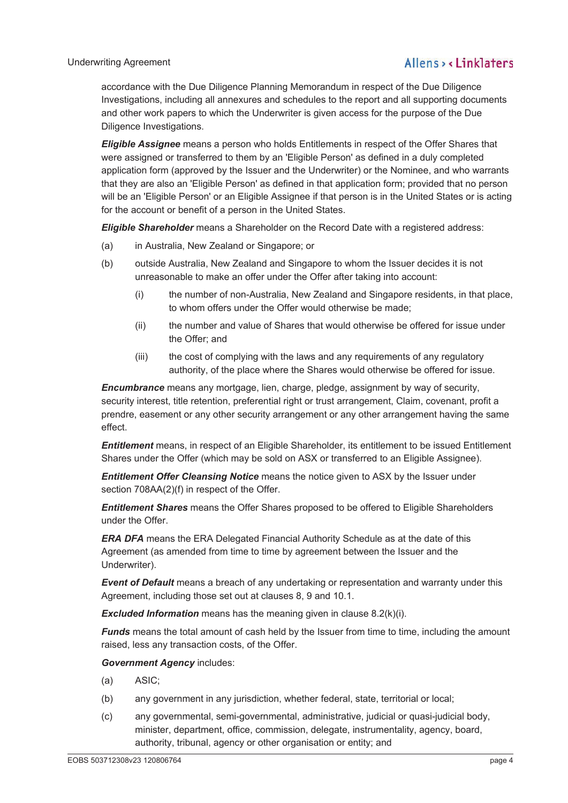accordance with the Due Diligence Planning Memorandum in respect of the Due Diligence Investigations, including all annexures and schedules to the report and all supporting documents and other work papers to which the Underwriter is given access for the purpose of the Due Diligence Investigations.

*Eligible Assignee* means a person who holds Entitlements in respect of the Offer Shares that were assigned or transferred to them by an 'Eligible Person' as defined in a duly completed application form (approved by the Issuer and the Underwriter) or the Nominee, and who warrants that they are also an 'Eligible Person' as defined in that application form; provided that no person will be an 'Eligible Person' or an Eligible Assignee if that person is in the United States or is acting for the account or benefit of a person in the United States.

*Eligible Shareholder* means a Shareholder on the Record Date with a registered address:

- (a) in Australia, New Zealand or Singapore; or
- (b) outside Australia, New Zealand and Singapore to whom the Issuer decides it is not unreasonable to make an offer under the Offer after taking into account:
	- (i) the number of non-Australia, New Zealand and Singapore residents, in that place, to whom offers under the Offer would otherwise be made;
	- (ii) the number and value of Shares that would otherwise be offered for issue under the Offer; and
	- (iii) the cost of complying with the laws and any requirements of any regulatory authority, of the place where the Shares would otherwise be offered for issue.

*Encumbrance* means any mortgage, lien, charge, pledge, assignment by way of security, security interest, title retention, preferential right or trust arrangement, Claim, covenant, profit a prendre, easement or any other security arrangement or any other arrangement having the same effect.

*Entitlement* means, in respect of an Eligible Shareholder, its entitlement to be issued Entitlement Shares under the Offer (which may be sold on ASX or transferred to an Eligible Assignee).

*Entitlement Offer Cleansing Notice* means the notice given to ASX by the Issuer under section 708AA(2)(f) in respect of the Offer.

*Entitlement Shares* means the Offer Shares proposed to be offered to Eligible Shareholders under the Offer.

*ERA DFA* means the ERA Delegated Financial Authority Schedule as at the date of this Agreement (as amended from time to time by agreement between the Issuer and the Underwriter).

*Event of Default* means a breach of any undertaking or representation and warranty under this Agreement, including those set out at clauses 8, 9 and 10.1.

*Excluded Information* means has the meaning given in clause 8.2(k)(i).

*Funds* means the total amount of cash held by the Issuer from time to time, including the amount raised, less any transaction costs, of the Offer.

*Government Agency* includes:

- (a) ASIC;
- (b) any government in any jurisdiction, whether federal, state, territorial or local;
- (c) any governmental, semi-governmental, administrative, judicial or quasi-judicial body, minister, department, office, commission, delegate, instrumentality, agency, board, authority, tribunal, agency or other organisation or entity; and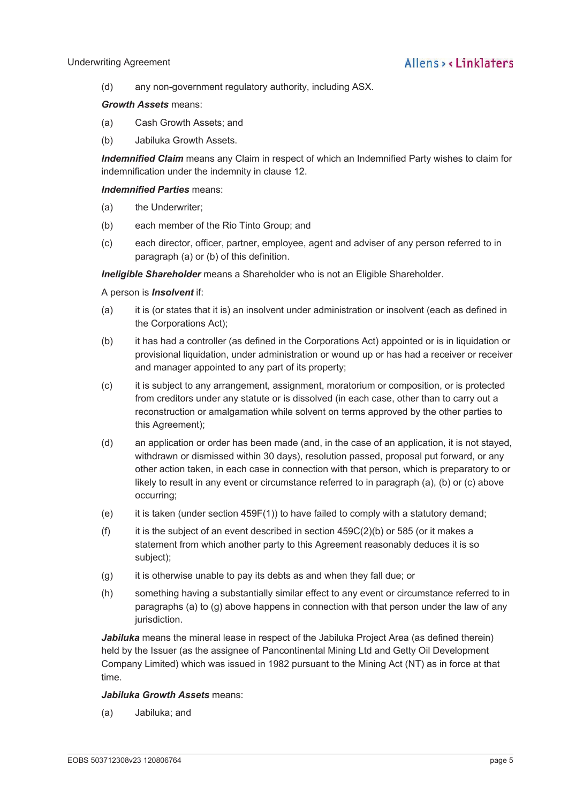(d) any non-government regulatory authority, including ASX.

### *Growth Assets* means:

- (a) Cash Growth Assets; and
- (b) Jabiluka Growth Assets.

*Indemnified Claim* means any Claim in respect of which an Indemnified Party wishes to claim for indemnification under the indemnity in clause 12.

## *Indemnified Parties* means:

- (a) the Underwriter;
- (b) each member of the Rio Tinto Group; and
- (c) each director, officer, partner, employee, agent and adviser of any person referred to in paragraph (a) or (b) of this definition.

*Ineligible Shareholder* means a Shareholder who is not an Eligible Shareholder.

### A person is *Insolvent* if:

- (a) it is (or states that it is) an insolvent under administration or insolvent (each as defined in the Corporations Act);
- (b) it has had a controller (as defined in the Corporations Act) appointed or is in liquidation or provisional liquidation, under administration or wound up or has had a receiver or receiver and manager appointed to any part of its property;
- (c) it is subject to any arrangement, assignment, moratorium or composition, or is protected from creditors under any statute or is dissolved (in each case, other than to carry out a reconstruction or amalgamation while solvent on terms approved by the other parties to this Agreement);
- (d) an application or order has been made (and, in the case of an application, it is not stayed, withdrawn or dismissed within 30 days), resolution passed, proposal put forward, or any other action taken, in each case in connection with that person, which is preparatory to or likely to result in any event or circumstance referred to in paragraph (a), (b) or (c) above occurring;
- (e) it is taken (under section 459F(1)) to have failed to comply with a statutory demand;
- (f) it is the subject of an event described in section  $459C(2)$ (b) or 585 (or it makes a statement from which another party to this Agreement reasonably deduces it is so subject);
- $(q)$  it is otherwise unable to pay its debts as and when they fall due; or
- (h) something having a substantially similar effect to any event or circumstance referred to in paragraphs (a) to (g) above happens in connection with that person under the law of any jurisdiction.

*Jabiluka* means the mineral lease in respect of the Jabiluka Project Area (as defined therein) held by the Issuer (as the assignee of Pancontinental Mining Ltd and Getty Oil Development Company Limited) which was issued in 1982 pursuant to the Mining Act (NT) as in force at that time.

### *Jabiluka Growth Assets* means:

(a) Jabiluka; and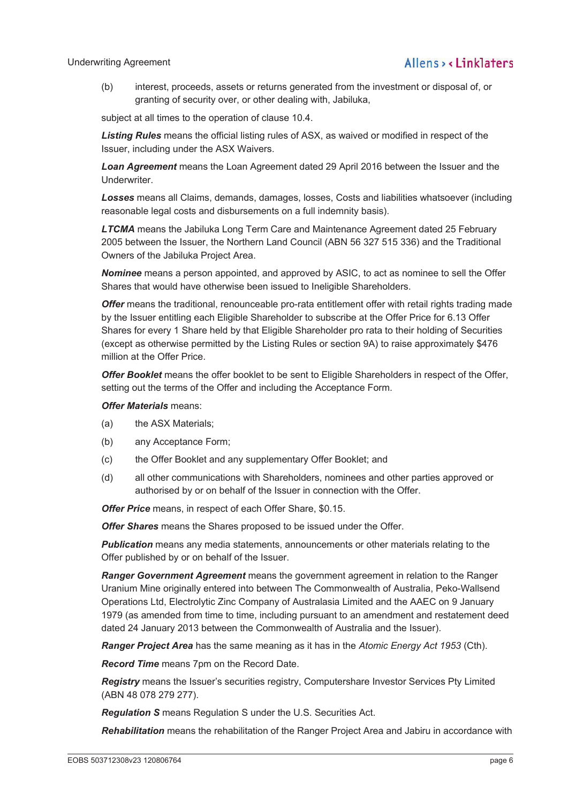(b) interest, proceeds, assets or returns generated from the investment or disposal of, or granting of security over, or other dealing with, Jabiluka,

subject at all times to the operation of clause 10.4.

*Listing Rules* means the official listing rules of ASX, as waived or modified in respect of the Issuer, including under the ASX Waivers.

*Loan Agreement* means the Loan Agreement dated 29 April 2016 between the Issuer and the Underwriter.

*Losses* means all Claims, demands, damages, losses, Costs and liabilities whatsoever (including reasonable legal costs and disbursements on a full indemnity basis).

*LTCMA* means the Jabiluka Long Term Care and Maintenance Agreement dated 25 February 2005 between the Issuer, the Northern Land Council (ABN 56 327 515 336) and the Traditional Owners of the Jabiluka Project Area.

*Nominee* means a person appointed, and approved by ASIC, to act as nominee to sell the Offer Shares that would have otherwise been issued to Ineligible Shareholders.

*Offer* means the traditional, renounceable pro-rata entitlement offer with retail rights trading made by the Issuer entitling each Eligible Shareholder to subscribe at the Offer Price for 6.13 Offer Shares for every 1 Share held by that Eligible Shareholder pro rata to their holding of Securities (except as otherwise permitted by the Listing Rules or section 9A) to raise approximately \$476 million at the Offer Price.

*Offer Booklet* means the offer booklet to be sent to Eligible Shareholders in respect of the Offer, setting out the terms of the Offer and including the Acceptance Form.

#### *Offer Materials* means:

- (a) the ASX Materials;
- (b) any Acceptance Form;
- (c) the Offer Booklet and any supplementary Offer Booklet; and
- (d) all other communications with Shareholders, nominees and other parties approved or authorised by or on behalf of the Issuer in connection with the Offer.

*Offer Price* means, in respect of each Offer Share, \$0.15.

*Offer Shares* means the Shares proposed to be issued under the Offer.

*Publication* means any media statements, announcements or other materials relating to the Offer published by or on behalf of the Issuer.

*Ranger Government Agreement* means the government agreement in relation to the Ranger Uranium Mine originally entered into between The Commonwealth of Australia, Peko-Wallsend Operations Ltd, Electrolytic Zinc Company of Australasia Limited and the AAEC on 9 January 1979 (as amended from time to time, including pursuant to an amendment and restatement deed dated 24 January 2013 between the Commonwealth of Australia and the Issuer).

*Ranger Project Area* has the same meaning as it has in the *Atomic Energy Act 1953* (Cth).

*Record Time* means 7pm on the Record Date.

*Registry* means the Issuer's securities registry, Computershare Investor Services Pty Limited (ABN 48 078 279 277).

*Regulation S* means Regulation S under the U.S. Securities Act.

*Rehabilitation* means the rehabilitation of the Ranger Project Area and Jabiru in accordance with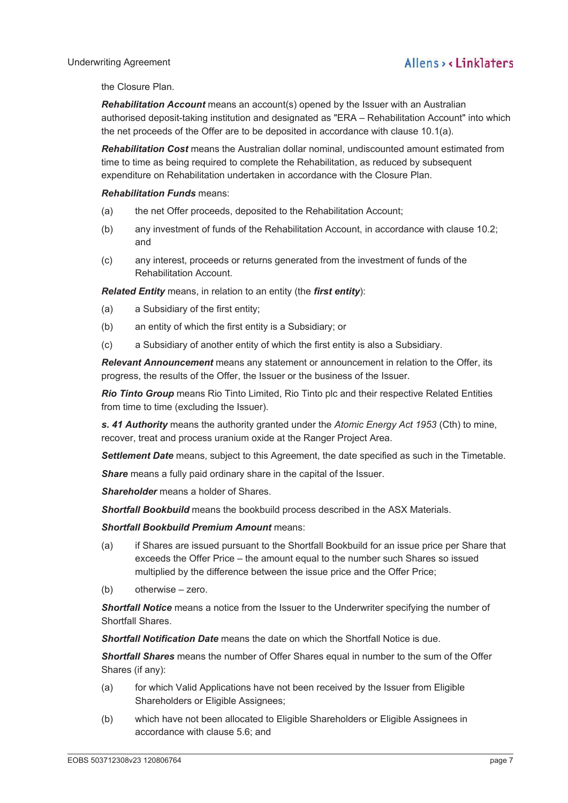### Underwriting Agreement

the Closure Plan.

*Rehabilitation Account* means an account(s) opened by the Issuer with an Australian authorised deposit-taking institution and designated as "ERA – Rehabilitation Account" into which the net proceeds of the Offer are to be deposited in accordance with clause 10.1(a).

*Rehabilitation Cost* means the Australian dollar nominal, undiscounted amount estimated from time to time as being required to complete the Rehabilitation, as reduced by subsequent expenditure on Rehabilitation undertaken in accordance with the Closure Plan.

## *Rehabilitation Funds* means:

- (a) the net Offer proceeds, deposited to the Rehabilitation Account;
- (b) any investment of funds of the Rehabilitation Account, in accordance with clause 10.2; and
- (c) any interest, proceeds or returns generated from the investment of funds of the Rehabilitation Account.

*Related Entity* means, in relation to an entity (the *first entity*):

- (a) a Subsidiary of the first entity;
- (b) an entity of which the first entity is a Subsidiary; or
- (c) a Subsidiary of another entity of which the first entity is also a Subsidiary.

*Relevant Announcement* means any statement or announcement in relation to the Offer, its progress, the results of the Offer, the Issuer or the business of the Issuer.

*Rio Tinto Group* means Rio Tinto Limited, Rio Tinto plc and their respective Related Entities from time to time (excluding the Issuer).

*s. 41 Authority* means the authority granted under the *Atomic Energy Act 1953* (Cth) to mine, recover, treat and process uranium oxide at the Ranger Project Area.

*Settlement Date* means, subject to this Agreement, the date specified as such in the Timetable.

**Share** means a fully paid ordinary share in the capital of the Issuer.

*Shareholder* means a holder of Shares.

*Shortfall Bookbuild* means the bookbuild process described in the ASX Materials.

### *Shortfall Bookbuild Premium Amount* means:

- (a) if Shares are issued pursuant to the Shortfall Bookbuild for an issue price per Share that exceeds the Offer Price – the amount equal to the number such Shares so issued multiplied by the difference between the issue price and the Offer Price;
- (b) otherwise zero.

*Shortfall Notice* means a notice from the Issuer to the Underwriter specifying the number of Shortfall Shares.

*Shortfall Notification Date* means the date on which the Shortfall Notice is due.

*Shortfall Shares* means the number of Offer Shares equal in number to the sum of the Offer Shares (if any):

- (a) for which Valid Applications have not been received by the Issuer from Eligible Shareholders or Eligible Assignees;
- (b) which have not been allocated to Eligible Shareholders or Eligible Assignees in accordance with clause 5.6; and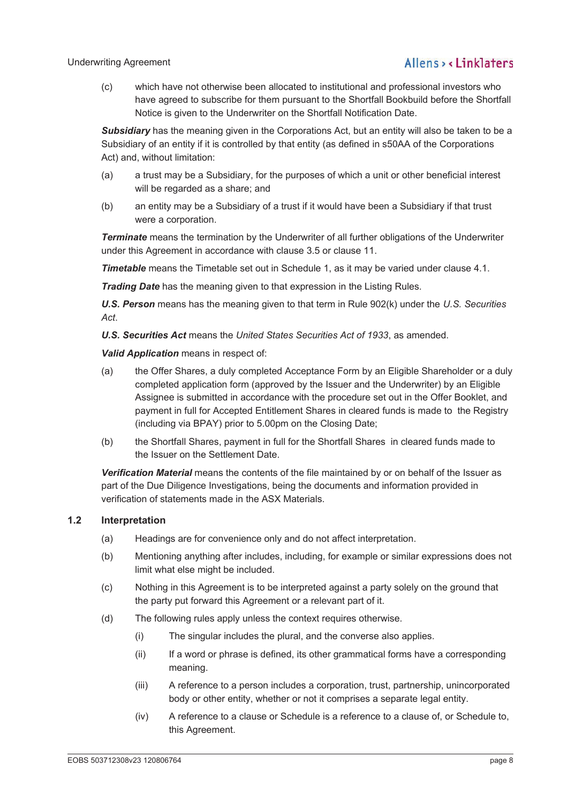(c) which have not otherwise been allocated to institutional and professional investors who have agreed to subscribe for them pursuant to the Shortfall Bookbuild before the Shortfall Notice is given to the Underwriter on the Shortfall Notification Date.

**Subsidiary** has the meaning given in the Corporations Act, but an entity will also be taken to be a Subsidiary of an entity if it is controlled by that entity (as defined in s50AA of the Corporations Act) and, without limitation:

- (a) a trust may be a Subsidiary, for the purposes of which a unit or other beneficial interest will be regarded as a share; and
- (b) an entity may be a Subsidiary of a trust if it would have been a Subsidiary if that trust were a corporation.

*Terminate* means the termination by the Underwriter of all further obligations of the Underwriter under this Agreement in accordance with clause 3.5 or clause 11.

*Timetable* means the Timetable set out in Schedule 1, as it may be varied under clause 4.1.

*Trading Date* has the meaning given to that expression in the Listing Rules.

*U.S. Person* means has the meaning given to that term in Rule 902(k) under the *U.S. Securities Act*.

*U.S. Securities Act* means the *United States Securities Act of 1933*, as amended.

*Valid Application* means in respect of:

- (a) the Offer Shares, a duly completed Acceptance Form by an Eligible Shareholder or a duly completed application form (approved by the Issuer and the Underwriter) by an Eligible Assignee is submitted in accordance with the procedure set out in the Offer Booklet, and payment in full for Accepted Entitlement Shares in cleared funds is made to the Registry (including via BPAY) prior to 5.00pm on the Closing Date;
- (b) the Shortfall Shares, payment in full for the Shortfall Shares in cleared funds made to the Issuer on the Settlement Date.

*Verification Material* means the contents of the file maintained by or on behalf of the Issuer as part of the Due Diligence Investigations, being the documents and information provided in verification of statements made in the ASX Materials.

### **1.2 Interpretation**

- (a) Headings are for convenience only and do not affect interpretation.
- (b) Mentioning anything after includes, including, for example or similar expressions does not limit what else might be included.
- (c) Nothing in this Agreement is to be interpreted against a party solely on the ground that the party put forward this Agreement or a relevant part of it.
- (d) The following rules apply unless the context requires otherwise.
	- (i) The singular includes the plural, and the converse also applies.
	- (ii) If a word or phrase is defined, its other grammatical forms have a corresponding meaning.
	- (iii) A reference to a person includes a corporation, trust, partnership, unincorporated body or other entity, whether or not it comprises a separate legal entity.
	- (iv) A reference to a clause or Schedule is a reference to a clause of, or Schedule to, this Agreement.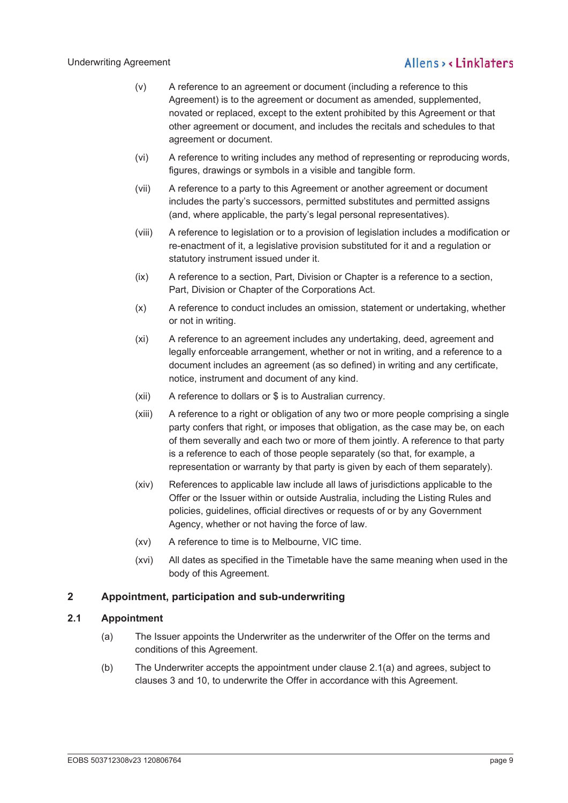- (v) A reference to an agreement or document (including a reference to this Agreement) is to the agreement or document as amended, supplemented, novated or replaced, except to the extent prohibited by this Agreement or that other agreement or document, and includes the recitals and schedules to that agreement or document.
- (vi) A reference to writing includes any method of representing or reproducing words, figures, drawings or symbols in a visible and tangible form.
- (vii) A reference to a party to this Agreement or another agreement or document includes the party's successors, permitted substitutes and permitted assigns (and, where applicable, the party's legal personal representatives).
- (viii) A reference to legislation or to a provision of legislation includes a modification or re-enactment of it, a legislative provision substituted for it and a regulation or statutory instrument issued under it.
- (ix) A reference to a section, Part, Division or Chapter is a reference to a section, Part, Division or Chapter of the Corporations Act.
- (x) A reference to conduct includes an omission, statement or undertaking, whether or not in writing.
- (xi) A reference to an agreement includes any undertaking, deed, agreement and legally enforceable arrangement, whether or not in writing, and a reference to a document includes an agreement (as so defined) in writing and any certificate, notice, instrument and document of any kind.
- (xii) A reference to dollars or \$ is to Australian currency.
- (xiii) A reference to a right or obligation of any two or more people comprising a single party confers that right, or imposes that obligation, as the case may be, on each of them severally and each two or more of them jointly. A reference to that party is a reference to each of those people separately (so that, for example, a representation or warranty by that party is given by each of them separately).
- (xiv) References to applicable law include all laws of jurisdictions applicable to the Offer or the Issuer within or outside Australia, including the Listing Rules and policies, guidelines, official directives or requests of or by any Government Agency, whether or not having the force of law.
- (xv) A reference to time is to Melbourne, VIC time.
- (xvi) All dates as specified in the Timetable have the same meaning when used in the body of this Agreement.

## **2 Appointment, participation and sub-underwriting**

## **2.1 Appointment**

- (a) The Issuer appoints the Underwriter as the underwriter of the Offer on the terms and conditions of this Agreement.
- (b) The Underwriter accepts the appointment under clause 2.1(a) and agrees, subject to clauses 3 and 10, to underwrite the Offer in accordance with this Agreement.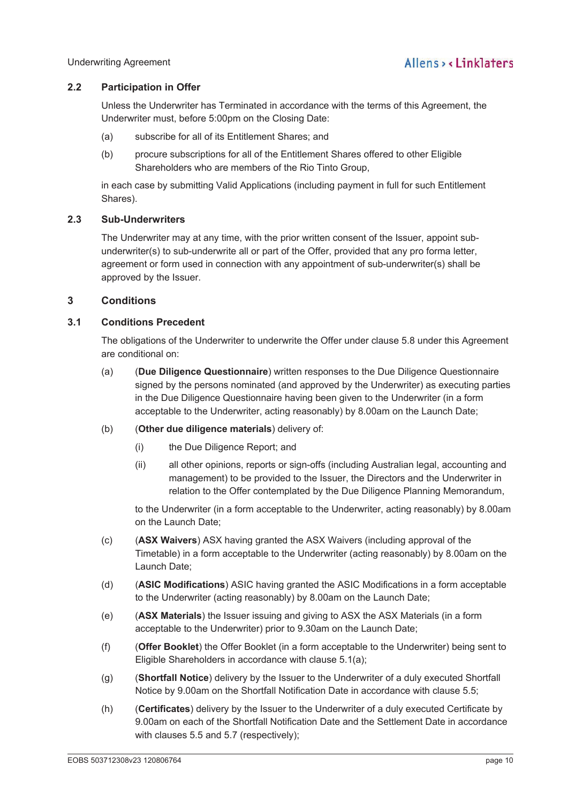## **2.2 Participation in Offer**

Unless the Underwriter has Terminated in accordance with the terms of this Agreement, the Underwriter must, before 5:00pm on the Closing Date:

- (a) subscribe for all of its Entitlement Shares; and
- (b) procure subscriptions for all of the Entitlement Shares offered to other Eligible Shareholders who are members of the Rio Tinto Group,

in each case by submitting Valid Applications (including payment in full for such Entitlement Shares).

### **2.3 Sub-Underwriters**

The Underwriter may at any time, with the prior written consent of the Issuer, appoint subunderwriter(s) to sub-underwrite all or part of the Offer, provided that any pro forma letter, agreement or form used in connection with any appointment of sub-underwriter(s) shall be approved by the Issuer.

## **3 Conditions**

## **3.1 Conditions Precedent**

The obligations of the Underwriter to underwrite the Offer under clause 5.8 under this Agreement are conditional on:

- (a) (**Due Diligence Questionnaire**) written responses to the Due Diligence Questionnaire signed by the persons nominated (and approved by the Underwriter) as executing parties in the Due Diligence Questionnaire having been given to the Underwriter (in a form acceptable to the Underwriter, acting reasonably) by 8.00am on the Launch Date;
- (b) (**Other due diligence materials**) delivery of:
	- (i) the Due Diligence Report; and
	- (ii) all other opinions, reports or sign-offs (including Australian legal, accounting and management) to be provided to the Issuer, the Directors and the Underwriter in relation to the Offer contemplated by the Due Diligence Planning Memorandum,

to the Underwriter (in a form acceptable to the Underwriter, acting reasonably) by 8.00am on the Launch Date;

- (c) (**ASX Waivers**) ASX having granted the ASX Waivers (including approval of the Timetable) in a form acceptable to the Underwriter (acting reasonably) by 8.00am on the Launch Date;
- (d) (**ASIC Modifications**) ASIC having granted the ASIC Modifications in a form acceptable to the Underwriter (acting reasonably) by 8.00am on the Launch Date;
- (e) (**ASX Materials**) the Issuer issuing and giving to ASX the ASX Materials (in a form acceptable to the Underwriter) prior to 9.30am on the Launch Date;
- (f) (**Offer Booklet**) the Offer Booklet (in a form acceptable to the Underwriter) being sent to Eligible Shareholders in accordance with clause 5.1(a);
- (g) (**Shortfall Notice**) delivery by the Issuer to the Underwriter of a duly executed Shortfall Notice by 9.00am on the Shortfall Notification Date in accordance with clause 5.5;
- (h) (**Certificates**) delivery by the Issuer to the Underwriter of a duly executed Certificate by 9.00am on each of the Shortfall Notification Date and the Settlement Date in accordance with clauses 5.5 and 5.7 (respectively);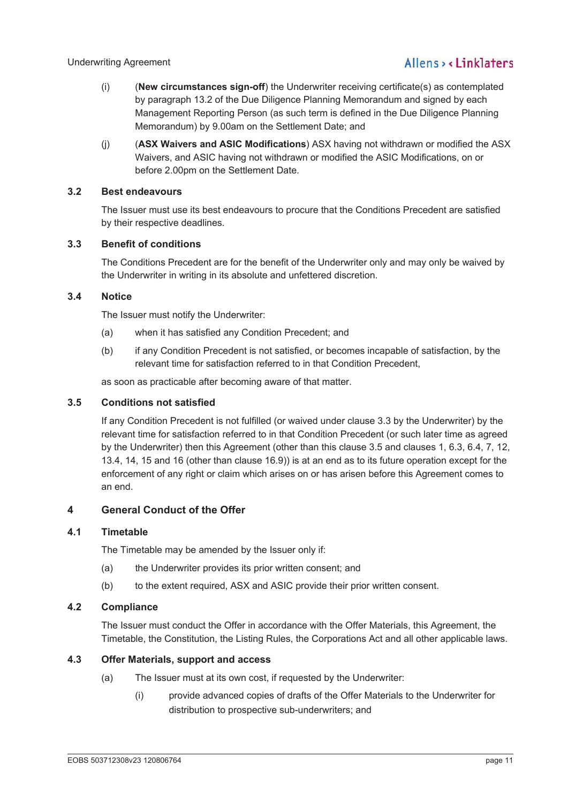- (i) (**New circumstances sign-off**) the Underwriter receiving certificate(s) as contemplated by paragraph 13.2 of the Due Diligence Planning Memorandum and signed by each Management Reporting Person (as such term is defined in the Due Diligence Planning Memorandum) by 9.00am on the Settlement Date; and
- (j) (**ASX Waivers and ASIC Modifications**) ASX having not withdrawn or modified the ASX Waivers, and ASIC having not withdrawn or modified the ASIC Modifications, on or before 2.00pm on the Settlement Date.

## **3.2 Best endeavours**

The Issuer must use its best endeavours to procure that the Conditions Precedent are satisfied by their respective deadlines.

## **3.3 Benefit of conditions**

The Conditions Precedent are for the benefit of the Underwriter only and may only be waived by the Underwriter in writing in its absolute and unfettered discretion.

## **3.4 Notice**

The Issuer must notify the Underwriter:

- (a) when it has satisfied any Condition Precedent; and
- (b) if any Condition Precedent is not satisfied, or becomes incapable of satisfaction, by the relevant time for satisfaction referred to in that Condition Precedent,

as soon as practicable after becoming aware of that matter.

## **3.5 Conditions not satisfied**

If any Condition Precedent is not fulfilled (or waived under clause 3.3 by the Underwriter) by the relevant time for satisfaction referred to in that Condition Precedent (or such later time as agreed by the Underwriter) then this Agreement (other than this clause 3.5 and clauses 1, 6.3, 6.4, 7, 12, 13.4, 14, 15 and 16 (other than clause 16.9)) is at an end as to its future operation except for the enforcement of any right or claim which arises on or has arisen before this Agreement comes to an end.

## **4 General Conduct of the Offer**

### **4.1 Timetable**

The Timetable may be amended by the Issuer only if:

- (a) the Underwriter provides its prior written consent; and
- (b) to the extent required, ASX and ASIC provide their prior written consent.

### **4.2 Compliance**

The Issuer must conduct the Offer in accordance with the Offer Materials, this Agreement, the Timetable, the Constitution, the Listing Rules, the Corporations Act and all other applicable laws.

### **4.3 Offer Materials, support and access**

- (a) The Issuer must at its own cost, if requested by the Underwriter:
	- (i) provide advanced copies of drafts of the Offer Materials to the Underwriter for distribution to prospective sub-underwriters; and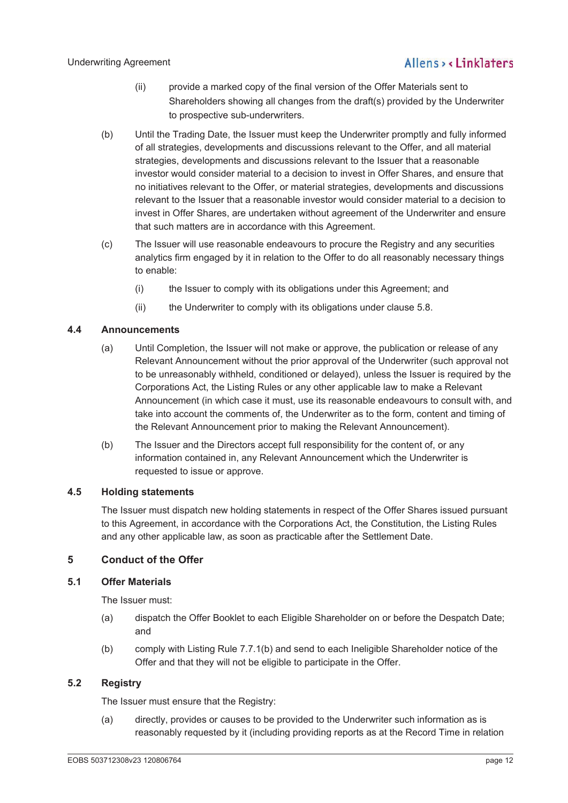### Underwriting Agreement

## Allens, linklaters

- (ii) provide a marked copy of the final version of the Offer Materials sent to Shareholders showing all changes from the draft(s) provided by the Underwriter to prospective sub-underwriters.
- (b) Until the Trading Date, the Issuer must keep the Underwriter promptly and fully informed of all strategies, developments and discussions relevant to the Offer, and all material strategies, developments and discussions relevant to the Issuer that a reasonable investor would consider material to a decision to invest in Offer Shares, and ensure that no initiatives relevant to the Offer, or material strategies, developments and discussions relevant to the Issuer that a reasonable investor would consider material to a decision to invest in Offer Shares, are undertaken without agreement of the Underwriter and ensure that such matters are in accordance with this Agreement.
- (c) The Issuer will use reasonable endeavours to procure the Registry and any securities analytics firm engaged by it in relation to the Offer to do all reasonably necessary things to enable:
	- (i) the Issuer to comply with its obligations under this Agreement; and
	- (ii) the Underwriter to comply with its obligations under clause 5.8.

## **4.4 Announcements**

- (a) Until Completion, the Issuer will not make or approve, the publication or release of any Relevant Announcement without the prior approval of the Underwriter (such approval not to be unreasonably withheld, conditioned or delayed), unless the Issuer is required by the Corporations Act, the Listing Rules or any other applicable law to make a Relevant Announcement (in which case it must, use its reasonable endeavours to consult with, and take into account the comments of, the Underwriter as to the form, content and timing of the Relevant Announcement prior to making the Relevant Announcement).
- (b) The Issuer and the Directors accept full responsibility for the content of, or any information contained in, any Relevant Announcement which the Underwriter is requested to issue or approve.

### **4.5 Holding statements**

The Issuer must dispatch new holding statements in respect of the Offer Shares issued pursuant to this Agreement, in accordance with the Corporations Act, the Constitution, the Listing Rules and any other applicable law, as soon as practicable after the Settlement Date.

## **5 Conduct of the Offer**

### **5.1 Offer Materials**

The Issuer must:

- (a) dispatch the Offer Booklet to each Eligible Shareholder on or before the Despatch Date; and
- (b) comply with Listing Rule 7.7.1(b) and send to each Ineligible Shareholder notice of the Offer and that they will not be eligible to participate in the Offer.

## **5.2 Registry**

The Issuer must ensure that the Registry:

(a) directly, provides or causes to be provided to the Underwriter such information as is reasonably requested by it (including providing reports as at the Record Time in relation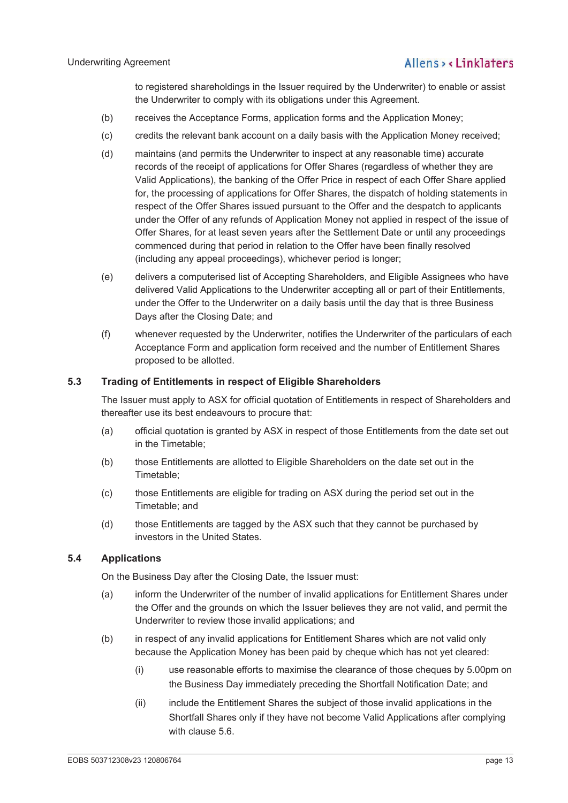to registered shareholdings in the Issuer required by the Underwriter) to enable or assist the Underwriter to comply with its obligations under this Agreement.

- (b) receives the Acceptance Forms, application forms and the Application Money;
- (c) credits the relevant bank account on a daily basis with the Application Money received;
- (d) maintains (and permits the Underwriter to inspect at any reasonable time) accurate records of the receipt of applications for Offer Shares (regardless of whether they are Valid Applications), the banking of the Offer Price in respect of each Offer Share applied for, the processing of applications for Offer Shares, the dispatch of holding statements in respect of the Offer Shares issued pursuant to the Offer and the despatch to applicants under the Offer of any refunds of Application Money not applied in respect of the issue of Offer Shares, for at least seven years after the Settlement Date or until any proceedings commenced during that period in relation to the Offer have been finally resolved (including any appeal proceedings), whichever period is longer;
- (e) delivers a computerised list of Accepting Shareholders, and Eligible Assignees who have delivered Valid Applications to the Underwriter accepting all or part of their Entitlements, under the Offer to the Underwriter on a daily basis until the day that is three Business Days after the Closing Date; and
- (f) whenever requested by the Underwriter, notifies the Underwriter of the particulars of each Acceptance Form and application form received and the number of Entitlement Shares proposed to be allotted.

## **5.3 Trading of Entitlements in respect of Eligible Shareholders**

The Issuer must apply to ASX for official quotation of Entitlements in respect of Shareholders and thereafter use its best endeavours to procure that:

- (a) official quotation is granted by ASX in respect of those Entitlements from the date set out in the Timetable;
- (b) those Entitlements are allotted to Eligible Shareholders on the date set out in the Timetable;
- (c) those Entitlements are eligible for trading on ASX during the period set out in the Timetable; and
- (d) those Entitlements are tagged by the ASX such that they cannot be purchased by investors in the United States.

## **5.4 Applications**

On the Business Day after the Closing Date, the Issuer must:

- (a) inform the Underwriter of the number of invalid applications for Entitlement Shares under the Offer and the grounds on which the Issuer believes they are not valid, and permit the Underwriter to review those invalid applications; and
- (b) in respect of any invalid applications for Entitlement Shares which are not valid only because the Application Money has been paid by cheque which has not yet cleared:
	- (i) use reasonable efforts to maximise the clearance of those cheques by 5.00pm on the Business Day immediately preceding the Shortfall Notification Date; and
	- (ii) include the Entitlement Shares the subject of those invalid applications in the Shortfall Shares only if they have not become Valid Applications after complying with clause 5.6.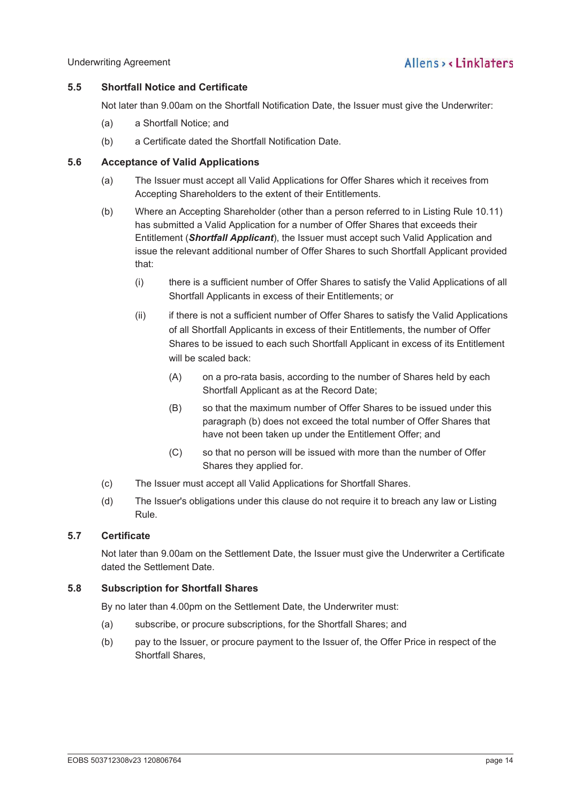## **5.5 Shortfall Notice and Certificate**

Not later than 9.00am on the Shortfall Notification Date, the Issuer must give the Underwriter:

- (a) a Shortfall Notice; and
- (b) a Certificate dated the Shortfall Notification Date.

## **5.6 Acceptance of Valid Applications**

- (a) The Issuer must accept all Valid Applications for Offer Shares which it receives from Accepting Shareholders to the extent of their Entitlements.
- (b) Where an Accepting Shareholder (other than a person referred to in Listing Rule 10.11) has submitted a Valid Application for a number of Offer Shares that exceeds their Entitlement (*Shortfall Applicant*), the Issuer must accept such Valid Application and issue the relevant additional number of Offer Shares to such Shortfall Applicant provided that:
	- (i) there is a sufficient number of Offer Shares to satisfy the Valid Applications of all Shortfall Applicants in excess of their Entitlements; or
	- (ii) if there is not a sufficient number of Offer Shares to satisfy the Valid Applications of all Shortfall Applicants in excess of their Entitlements, the number of Offer Shares to be issued to each such Shortfall Applicant in excess of its Entitlement will be scaled back:
		- (A) on a pro-rata basis, according to the number of Shares held by each Shortfall Applicant as at the Record Date;
		- (B) so that the maximum number of Offer Shares to be issued under this paragraph (b) does not exceed the total number of Offer Shares that have not been taken up under the Entitlement Offer; and
		- (C) so that no person will be issued with more than the number of Offer Shares they applied for.
- (c) The Issuer must accept all Valid Applications for Shortfall Shares.
- (d) The Issuer's obligations under this clause do not require it to breach any law or Listing Rule.

### **5.7 Certificate**

Not later than 9.00am on the Settlement Date, the Issuer must give the Underwriter a Certificate dated the Settlement Date.

## **5.8 Subscription for Shortfall Shares**

By no later than 4.00pm on the Settlement Date, the Underwriter must:

- (a) subscribe, or procure subscriptions, for the Shortfall Shares; and
- (b) pay to the Issuer, or procure payment to the Issuer of, the Offer Price in respect of the Shortfall Shares,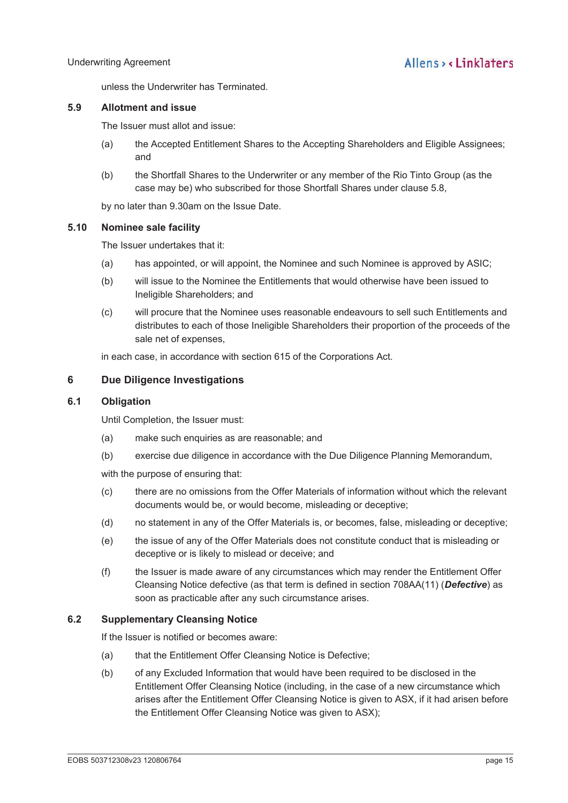unless the Underwriter has Terminated.

#### **5.9 Allotment and issue**

The Issuer must allot and issue:

- (a) the Accepted Entitlement Shares to the Accepting Shareholders and Eligible Assignees; and
- (b) the Shortfall Shares to the Underwriter or any member of the Rio Tinto Group (as the case may be) who subscribed for those Shortfall Shares under clause 5.8,

by no later than 9.30am on the Issue Date.

#### **5.10 Nominee sale facility**

The Issuer undertakes that it:

- (a) has appointed, or will appoint, the Nominee and such Nominee is approved by ASIC;
- (b) will issue to the Nominee the Entitlements that would otherwise have been issued to Ineligible Shareholders; and
- (c) will procure that the Nominee uses reasonable endeavours to sell such Entitlements and distributes to each of those Ineligible Shareholders their proportion of the proceeds of the sale net of expenses,

in each case, in accordance with section 615 of the Corporations Act.

### **6 Due Diligence Investigations**

#### **6.1 Obligation**

Until Completion, the Issuer must:

- (a) make such enquiries as are reasonable; and
- (b) exercise due diligence in accordance with the Due Diligence Planning Memorandum,

with the purpose of ensuring that:

- (c) there are no omissions from the Offer Materials of information without which the relevant documents would be, or would become, misleading or deceptive;
- (d) no statement in any of the Offer Materials is, or becomes, false, misleading or deceptive;
- (e) the issue of any of the Offer Materials does not constitute conduct that is misleading or deceptive or is likely to mislead or deceive; and
- (f) the Issuer is made aware of any circumstances which may render the Entitlement Offer Cleansing Notice defective (as that term is defined in section 708AA(11) (*Defective*) as soon as practicable after any such circumstance arises.

### **6.2 Supplementary Cleansing Notice**

If the Issuer is notified or becomes aware:

- (a) that the Entitlement Offer Cleansing Notice is Defective;
- (b) of any Excluded Information that would have been required to be disclosed in the Entitlement Offer Cleansing Notice (including, in the case of a new circumstance which arises after the Entitlement Offer Cleansing Notice is given to ASX, if it had arisen before the Entitlement Offer Cleansing Notice was given to ASX);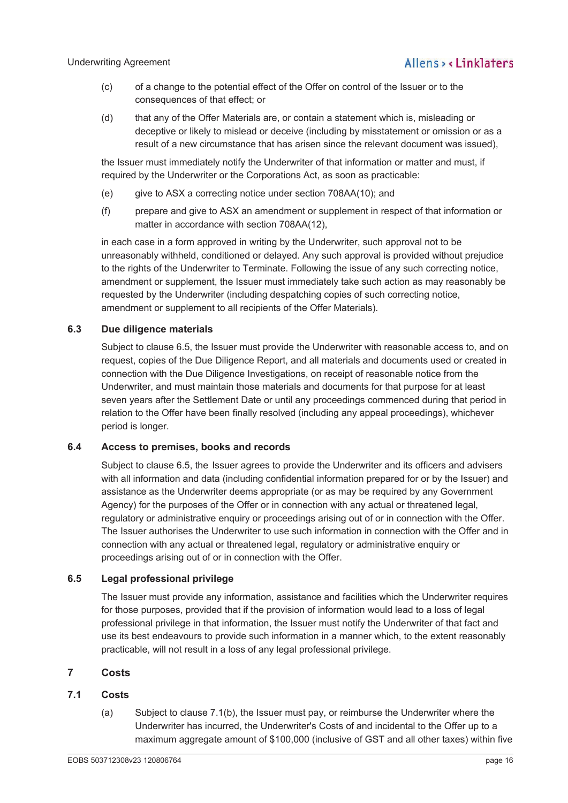- (c) of a change to the potential effect of the Offer on control of the Issuer or to the consequences of that effect; or
- (d) that any of the Offer Materials are, or contain a statement which is, misleading or deceptive or likely to mislead or deceive (including by misstatement or omission or as a result of a new circumstance that has arisen since the relevant document was issued),

the Issuer must immediately notify the Underwriter of that information or matter and must, if required by the Underwriter or the Corporations Act, as soon as practicable:

- (e) give to ASX a correcting notice under section 708AA(10); and
- (f) prepare and give to ASX an amendment or supplement in respect of that information or matter in accordance with section 708AA(12),

in each case in a form approved in writing by the Underwriter, such approval not to be unreasonably withheld, conditioned or delayed. Any such approval is provided without prejudice to the rights of the Underwriter to Terminate. Following the issue of any such correcting notice, amendment or supplement, the Issuer must immediately take such action as may reasonably be requested by the Underwriter (including despatching copies of such correcting notice, amendment or supplement to all recipients of the Offer Materials).

## **6.3 Due diligence materials**

Subject to clause 6.5, the Issuer must provide the Underwriter with reasonable access to, and on request, copies of the Due Diligence Report, and all materials and documents used or created in connection with the Due Diligence Investigations, on receipt of reasonable notice from the Underwriter, and must maintain those materials and documents for that purpose for at least seven years after the Settlement Date or until any proceedings commenced during that period in relation to the Offer have been finally resolved (including any appeal proceedings), whichever period is longer.

## **6.4 Access to premises, books and records**

Subject to clause 6.5, the Issuer agrees to provide the Underwriter and its officers and advisers with all information and data (including confidential information prepared for or by the Issuer) and assistance as the Underwriter deems appropriate (or as may be required by any Government Agency) for the purposes of the Offer or in connection with any actual or threatened legal, regulatory or administrative enquiry or proceedings arising out of or in connection with the Offer. The Issuer authorises the Underwriter to use such information in connection with the Offer and in connection with any actual or threatened legal, regulatory or administrative enquiry or proceedings arising out of or in connection with the Offer.

## **6.5 Legal professional privilege**

The Issuer must provide any information, assistance and facilities which the Underwriter requires for those purposes, provided that if the provision of information would lead to a loss of legal professional privilege in that information, the Issuer must notify the Underwriter of that fact and use its best endeavours to provide such information in a manner which, to the extent reasonably practicable, will not result in a loss of any legal professional privilege.

## **7 Costs**

## **7.1 Costs**

(a) Subject to clause 7.1(b), the Issuer must pay, or reimburse the Underwriter where the Underwriter has incurred, the Underwriter's Costs of and incidental to the Offer up to a maximum aggregate amount of \$100,000 (inclusive of GST and all other taxes) within five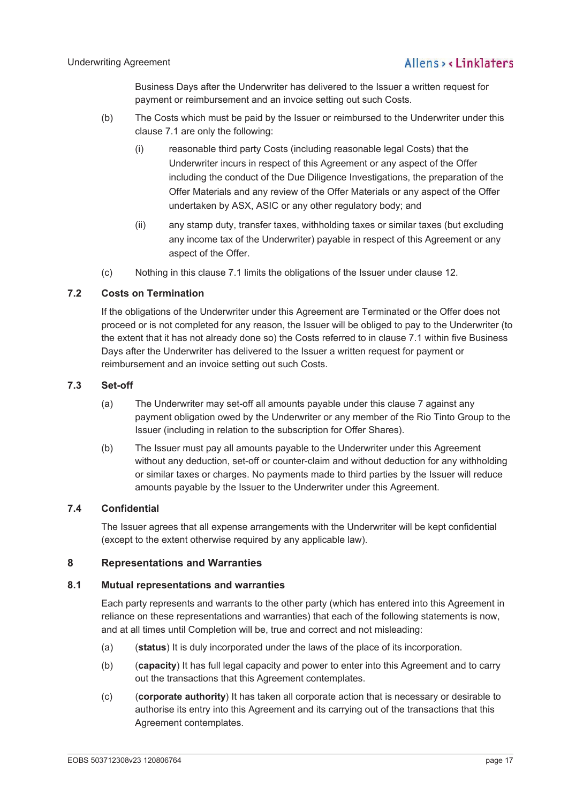Business Days after the Underwriter has delivered to the Issuer a written request for payment or reimbursement and an invoice setting out such Costs.

- (b) The Costs which must be paid by the Issuer or reimbursed to the Underwriter under this clause 7.1 are only the following:
	- (i) reasonable third party Costs (including reasonable legal Costs) that the Underwriter incurs in respect of this Agreement or any aspect of the Offer including the conduct of the Due Diligence Investigations, the preparation of the Offer Materials and any review of the Offer Materials or any aspect of the Offer undertaken by ASX, ASIC or any other regulatory body; and
	- (ii) any stamp duty, transfer taxes, withholding taxes or similar taxes (but excluding any income tax of the Underwriter) payable in respect of this Agreement or any aspect of the Offer.
- (c) Nothing in this clause 7.1 limits the obligations of the Issuer under clause 12.

## **7.2 Costs on Termination**

If the obligations of the Underwriter under this Agreement are Terminated or the Offer does not proceed or is not completed for any reason, the Issuer will be obliged to pay to the Underwriter (to the extent that it has not already done so) the Costs referred to in clause 7.1 within five Business Days after the Underwriter has delivered to the Issuer a written request for payment or reimbursement and an invoice setting out such Costs.

## **7.3 Set-off**

- (a) The Underwriter may set-off all amounts payable under this clause 7 against any payment obligation owed by the Underwriter or any member of the Rio Tinto Group to the Issuer (including in relation to the subscription for Offer Shares).
- (b) The Issuer must pay all amounts payable to the Underwriter under this Agreement without any deduction, set-off or counter-claim and without deduction for any withholding or similar taxes or charges. No payments made to third parties by the Issuer will reduce amounts payable by the Issuer to the Underwriter under this Agreement.

## **7.4 Confidential**

The Issuer agrees that all expense arrangements with the Underwriter will be kept confidential (except to the extent otherwise required by any applicable law).

## **8 Representations and Warranties**

### **8.1 Mutual representations and warranties**

Each party represents and warrants to the other party (which has entered into this Agreement in reliance on these representations and warranties) that each of the following statements is now, and at all times until Completion will be, true and correct and not misleading:

- (a) (**status**) It is duly incorporated under the laws of the place of its incorporation.
- (b) (**capacity**) It has full legal capacity and power to enter into this Agreement and to carry out the transactions that this Agreement contemplates.
- (c) (**corporate authority**) It has taken all corporate action that is necessary or desirable to authorise its entry into this Agreement and its carrying out of the transactions that this Agreement contemplates.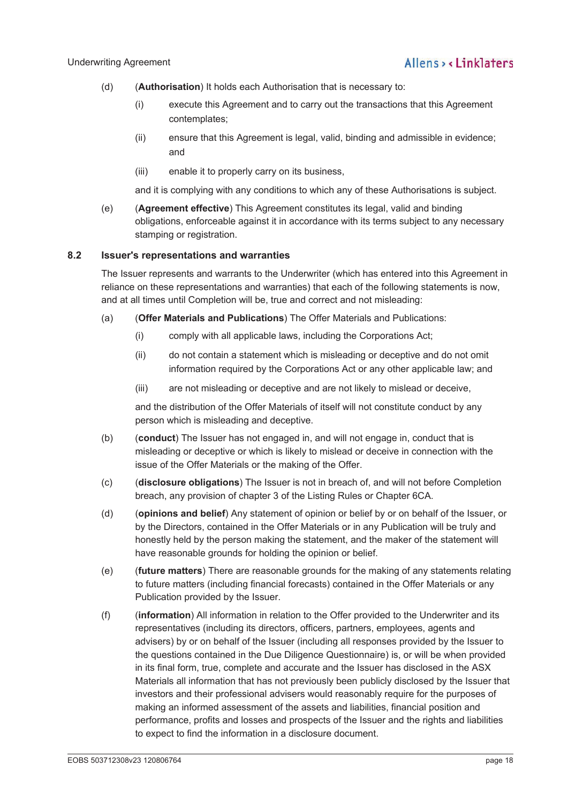- (d) (**Authorisation**) It holds each Authorisation that is necessary to:
	- (i) execute this Agreement and to carry out the transactions that this Agreement contemplates;
	- (ii) ensure that this Agreement is legal, valid, binding and admissible in evidence; and
	- (iii) enable it to properly carry on its business,

and it is complying with any conditions to which any of these Authorisations is subject.

(e) (**Agreement effective**) This Agreement constitutes its legal, valid and binding obligations, enforceable against it in accordance with its terms subject to any necessary stamping or registration.

## **8.2 Issuer's representations and warranties**

The Issuer represents and warrants to the Underwriter (which has entered into this Agreement in reliance on these representations and warranties) that each of the following statements is now, and at all times until Completion will be, true and correct and not misleading:

- (a) (**Offer Materials and Publications**) The Offer Materials and Publications:
	- (i) comply with all applicable laws, including the Corporations Act;
	- (ii) do not contain a statement which is misleading or deceptive and do not omit information required by the Corporations Act or any other applicable law; and
	- (iii) are not misleading or deceptive and are not likely to mislead or deceive,

and the distribution of the Offer Materials of itself will not constitute conduct by any person which is misleading and deceptive.

- (b) (**conduct**) The Issuer has not engaged in, and will not engage in, conduct that is misleading or deceptive or which is likely to mislead or deceive in connection with the issue of the Offer Materials or the making of the Offer.
- (c) (**disclosure obligations**) The Issuer is not in breach of, and will not before Completion breach, any provision of chapter 3 of the Listing Rules or Chapter 6CA.
- (d) (**opinions and belief**) Any statement of opinion or belief by or on behalf of the Issuer, or by the Directors, contained in the Offer Materials or in any Publication will be truly and honestly held by the person making the statement, and the maker of the statement will have reasonable grounds for holding the opinion or belief.
- (e) (**future matters**) There are reasonable grounds for the making of any statements relating to future matters (including financial forecasts) contained in the Offer Materials or any Publication provided by the Issuer.
- (f) (**information**) All information in relation to the Offer provided to the Underwriter and its representatives (including its directors, officers, partners, employees, agents and advisers) by or on behalf of the Issuer (including all responses provided by the Issuer to the questions contained in the Due Diligence Questionnaire) is, or will be when provided in its final form, true, complete and accurate and the Issuer has disclosed in the ASX Materials all information that has not previously been publicly disclosed by the Issuer that investors and their professional advisers would reasonably require for the purposes of making an informed assessment of the assets and liabilities, financial position and performance, profits and losses and prospects of the Issuer and the rights and liabilities to expect to find the information in a disclosure document.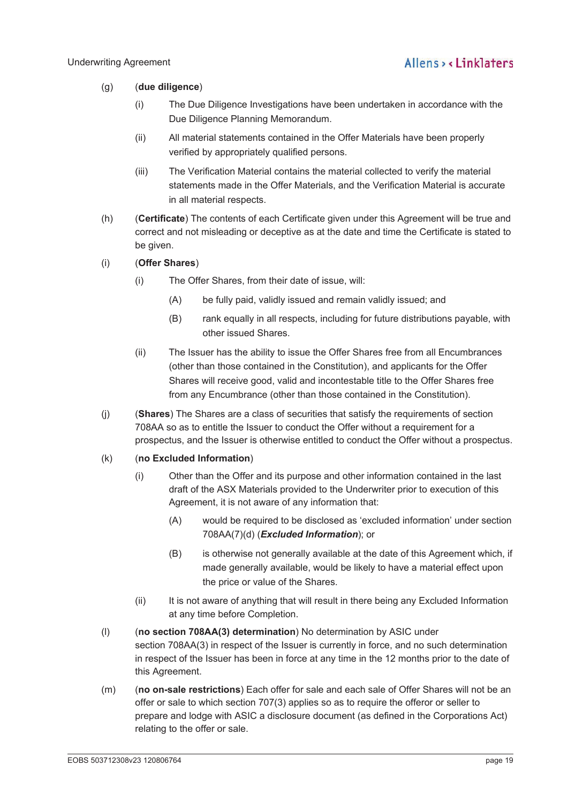- (g) (**due diligence**)
	- (i) The Due Diligence Investigations have been undertaken in accordance with the Due Diligence Planning Memorandum.
	- (ii) All material statements contained in the Offer Materials have been properly verified by appropriately qualified persons.
	- (iii) The Verification Material contains the material collected to verify the material statements made in the Offer Materials, and the Verification Material is accurate in all material respects.
- (h) (**Certificate**) The contents of each Certificate given under this Agreement will be true and correct and not misleading or deceptive as at the date and time the Certificate is stated to be given.
- (i) (**Offer Shares**)
	- (i) The Offer Shares, from their date of issue, will:
		- (A) be fully paid, validly issued and remain validly issued; and
		- (B) rank equally in all respects, including for future distributions payable, with other issued Shares.
	- (ii) The Issuer has the ability to issue the Offer Shares free from all Encumbrances (other than those contained in the Constitution), and applicants for the Offer Shares will receive good, valid and incontestable title to the Offer Shares free from any Encumbrance (other than those contained in the Constitution).
- (j) (**Shares**) The Shares are a class of securities that satisfy the requirements of section 708AA so as to entitle the Issuer to conduct the Offer without a requirement for a prospectus, and the Issuer is otherwise entitled to conduct the Offer without a prospectus.

### (k) (**no Excluded Information**)

- (i) Other than the Offer and its purpose and other information contained in the last draft of the ASX Materials provided to the Underwriter prior to execution of this Agreement, it is not aware of any information that:
	- (A) would be required to be disclosed as 'excluded information' under section 708AA(7)(d) (*Excluded Information*); or
	- (B) is otherwise not generally available at the date of this Agreement which, if made generally available, would be likely to have a material effect upon the price or value of the Shares.
- (ii) It is not aware of anything that will result in there being any Excluded Information at any time before Completion.
- (l) (**no section 708AA(3) determination**) No determination by ASIC under section 708AA(3) in respect of the Issuer is currently in force, and no such determination in respect of the Issuer has been in force at any time in the 12 months prior to the date of this Agreement.
- (m) (**no on-sale restrictions**) Each offer for sale and each sale of Offer Shares will not be an offer or sale to which section 707(3) applies so as to require the offeror or seller to prepare and lodge with ASIC a disclosure document (as defined in the Corporations Act) relating to the offer or sale.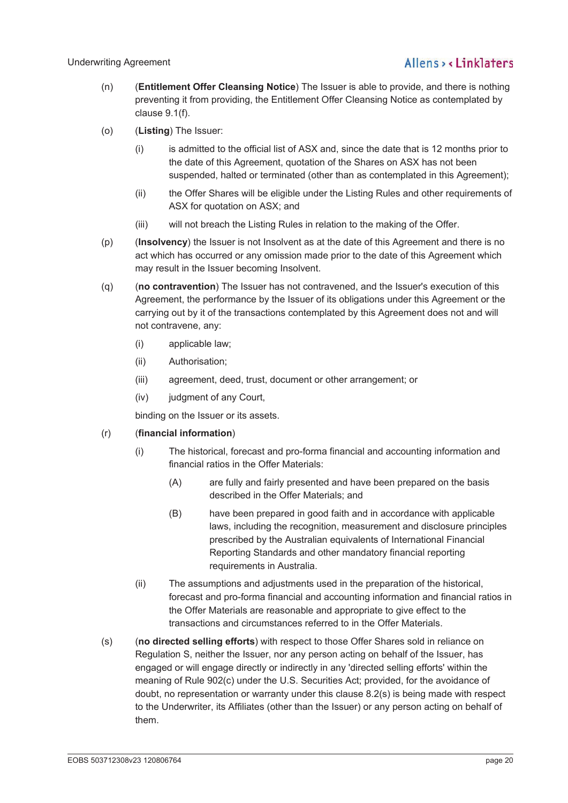- (n) (**Entitlement Offer Cleansing Notice**) The Issuer is able to provide, and there is nothing preventing it from providing, the Entitlement Offer Cleansing Notice as contemplated by clause 9.1(f).
- (o) (**Listing**) The Issuer:
	- (i) is admitted to the official list of ASX and, since the date that is 12 months prior to the date of this Agreement, quotation of the Shares on ASX has not been suspended, halted or terminated (other than as contemplated in this Agreement);
	- (ii) the Offer Shares will be eligible under the Listing Rules and other requirements of ASX for quotation on ASX; and
	- (iii) will not breach the Listing Rules in relation to the making of the Offer.
- (p) (**Insolvency**) the Issuer is not Insolvent as at the date of this Agreement and there is no act which has occurred or any omission made prior to the date of this Agreement which may result in the Issuer becoming Insolvent.
- (q) (**no contravention**) The Issuer has not contravened, and the Issuer's execution of this Agreement, the performance by the Issuer of its obligations under this Agreement or the carrying out by it of the transactions contemplated by this Agreement does not and will not contravene, any:
	- (i) applicable law;
	- (ii) Authorisation;
	- (iii) agreement, deed, trust, document or other arrangement; or
	- (iv) judgment of any Court,

binding on the Issuer or its assets.

### (r) (**financial information**)

- (i) The historical, forecast and pro-forma financial and accounting information and financial ratios in the Offer Materials:
	- (A) are fully and fairly presented and have been prepared on the basis described in the Offer Materials; and
	- (B) have been prepared in good faith and in accordance with applicable laws, including the recognition, measurement and disclosure principles prescribed by the Australian equivalents of International Financial Reporting Standards and other mandatory financial reporting requirements in Australia.
- (ii) The assumptions and adjustments used in the preparation of the historical, forecast and pro-forma financial and accounting information and financial ratios in the Offer Materials are reasonable and appropriate to give effect to the transactions and circumstances referred to in the Offer Materials.
- (s) (**no directed selling efforts**) with respect to those Offer Shares sold in reliance on Regulation S, neither the Issuer, nor any person acting on behalf of the Issuer, has engaged or will engage directly or indirectly in any 'directed selling efforts' within the meaning of Rule 902(c) under the U.S. Securities Act; provided, for the avoidance of doubt, no representation or warranty under this clause 8.2(s) is being made with respect to the Underwriter, its Affiliates (other than the Issuer) or any person acting on behalf of them.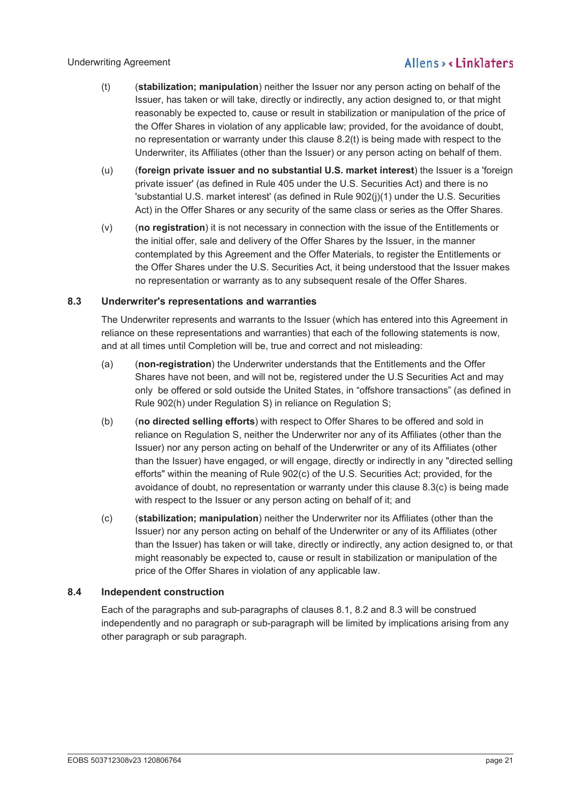- (t) (**stabilization; manipulation**) neither the Issuer nor any person acting on behalf of the Issuer, has taken or will take, directly or indirectly, any action designed to, or that might reasonably be expected to, cause or result in stabilization or manipulation of the price of the Offer Shares in violation of any applicable law; provided, for the avoidance of doubt, no representation or warranty under this clause 8.2(t) is being made with respect to the Underwriter, its Affiliates (other than the Issuer) or any person acting on behalf of them.
- (u) (**foreign private issuer and no substantial U.S. market interest**) the Issuer is a 'foreign private issuer' (as defined in Rule 405 under the U.S. Securities Act) and there is no 'substantial U.S. market interest' (as defined in Rule 902(j)(1) under the U.S. Securities Act) in the Offer Shares or any security of the same class or series as the Offer Shares.
- (v) (**no registration**) it is not necessary in connection with the issue of the Entitlements or the initial offer, sale and delivery of the Offer Shares by the Issuer, in the manner contemplated by this Agreement and the Offer Materials, to register the Entitlements or the Offer Shares under the U.S. Securities Act, it being understood that the Issuer makes no representation or warranty as to any subsequent resale of the Offer Shares.

## **8.3 Underwriter's representations and warranties**

The Underwriter represents and warrants to the Issuer (which has entered into this Agreement in reliance on these representations and warranties) that each of the following statements is now, and at all times until Completion will be, true and correct and not misleading:

- (a) (**non-registration**) the Underwriter understands that the Entitlements and the Offer Shares have not been, and will not be, registered under the U.S Securities Act and may only be offered or sold outside the United States, in "offshore transactions" (as defined in Rule 902(h) under Regulation S) in reliance on Regulation S;
- (b) (**no directed selling efforts**) with respect to Offer Shares to be offered and sold in reliance on Regulation S, neither the Underwriter nor any of its Affiliates (other than the Issuer) nor any person acting on behalf of the Underwriter or any of its Affiliates (other than the Issuer) have engaged, or will engage, directly or indirectly in any "directed selling efforts" within the meaning of Rule 902(c) of the U.S. Securities Act; provided, for the avoidance of doubt, no representation or warranty under this clause 8.3(c) is being made with respect to the Issuer or any person acting on behalf of it; and
- (c) (**stabilization; manipulation**) neither the Underwriter nor its Affiliates (other than the Issuer) nor any person acting on behalf of the Underwriter or any of its Affiliates (other than the Issuer) has taken or will take, directly or indirectly, any action designed to, or that might reasonably be expected to, cause or result in stabilization or manipulation of the price of the Offer Shares in violation of any applicable law.

## **8.4 Independent construction**

Each of the paragraphs and sub-paragraphs of clauses 8.1, 8.2 and 8.3 will be construed independently and no paragraph or sub-paragraph will be limited by implications arising from any other paragraph or sub paragraph.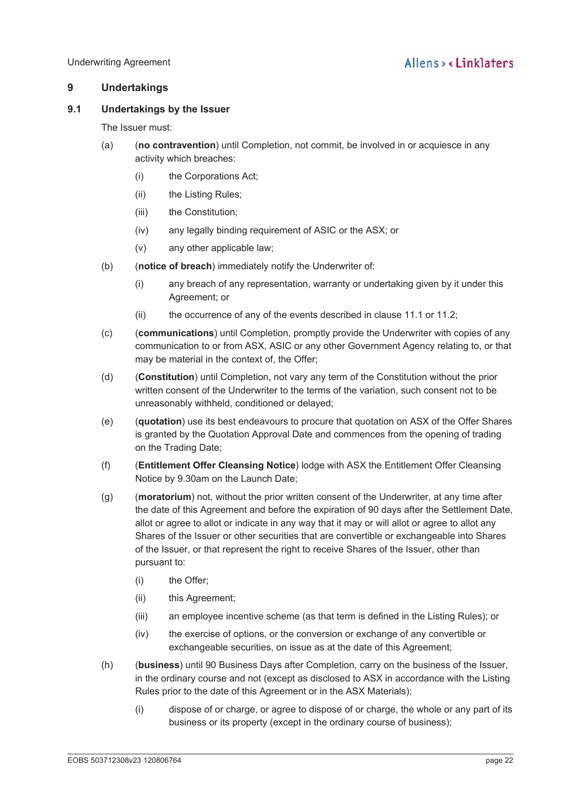## **9 Undertakings**

## **9.1 Undertakings by the Issuer**

The Issuer must:

- (a) (**no contravention**) until Completion, not commit, be involved in or acquiesce in any activity which breaches:
	- (i) the Corporations Act;
	- (ii) the Listing Rules;
	- (iii) the Constitution;
	- (iv) any legally binding requirement of ASIC or the ASX; or
	- (v) any other applicable law;
- (b) (**notice of breach**) immediately notify the Underwriter of:
	- (i) any breach of any representation, warranty or undertaking given by it under this Agreement; or
	- (ii) the occurrence of any of the events described in clause 11.1 or 11.2;
- (c) (**communications**) until Completion, promptly provide the Underwriter with copies of any communication to or from ASX, ASIC or any other Government Agency relating to, or that may be material in the context of, the Offer;
- (d) (**Constitution**) until Completion, not vary any term of the Constitution without the prior written consent of the Underwriter to the terms of the variation, such consent not to be unreasonably withheld, conditioned or delayed;
- (e) (**quotation**) use its best endeavours to procure that quotation on ASX of the Offer Shares is granted by the Quotation Approval Date and commences from the opening of trading on the Trading Date;
- (f) (**Entitlement Offer Cleansing Notice**) lodge with ASX the Entitlement Offer Cleansing Notice by 9.30am on the Launch Date;
- (g) (**moratorium**) not, without the prior written consent of the Underwriter, at any time after the date of this Agreement and before the expiration of 90 days after the Settlement Date, allot or agree to allot or indicate in any way that it may or will allot or agree to allot any Shares of the Issuer or other securities that are convertible or exchangeable into Shares of the Issuer, or that represent the right to receive Shares of the Issuer, other than pursuant to:
	- (i) the Offer;
	- (ii) this Agreement;
	- (iii) an employee incentive scheme (as that term is defined in the Listing Rules); or
	- (iv) the exercise of options, or the conversion or exchange of any convertible or exchangeable securities, on issue as at the date of this Agreement;
- (h) (**business**) until 90 Business Days after Completion*,* carry on the business of the Issuer, in the ordinary course and not (except as disclosed to ASX in accordance with the Listing Rules prior to the date of this Agreement or in the ASX Materials);
	- (i) dispose of or charge, or agree to dispose of or charge, the whole or any part of its business or its property (except in the ordinary course of business);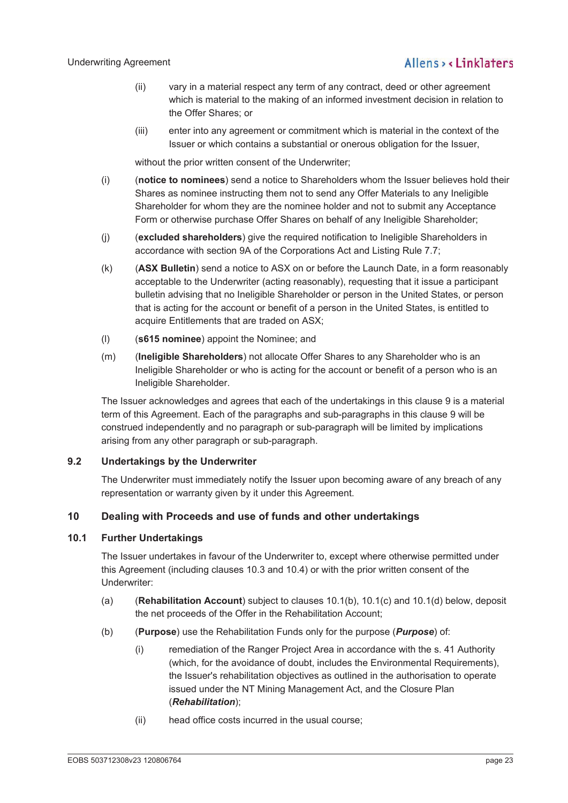- (ii) vary in a material respect any term of any contract, deed or other agreement which is material to the making of an informed investment decision in relation to the Offer Shares; or
- (iii) enter into any agreement or commitment which is material in the context of the Issuer or which contains a substantial or onerous obligation for the Issuer,

without the prior written consent of the Underwriter;

- (i) (**notice to nominees**) send a notice to Shareholders whom the Issuer believes hold their Shares as nominee instructing them not to send any Offer Materials to any Ineligible Shareholder for whom they are the nominee holder and not to submit any Acceptance Form or otherwise purchase Offer Shares on behalf of any Ineligible Shareholder;
- (j) (**excluded shareholders**) give the required notification to Ineligible Shareholders in accordance with section 9A of the Corporations Act and Listing Rule 7.7;
- (k) (**ASX Bulletin**) send a notice to ASX on or before the Launch Date, in a form reasonably acceptable to the Underwriter (acting reasonably), requesting that it issue a participant bulletin advising that no Ineligible Shareholder or person in the United States, or person that is acting for the account or benefit of a person in the United States, is entitled to acquire Entitlements that are traded on ASX;
- (l) (**s615 nominee**) appoint the Nominee; and
- (m) (**Ineligible Shareholders**) not allocate Offer Shares to any Shareholder who is an Ineligible Shareholder or who is acting for the account or benefit of a person who is an Ineligible Shareholder.

The Issuer acknowledges and agrees that each of the undertakings in this clause 9 is a material term of this Agreement. Each of the paragraphs and sub-paragraphs in this clause 9 will be construed independently and no paragraph or sub-paragraph will be limited by implications arising from any other paragraph or sub-paragraph.

## **9.2 Undertakings by the Underwriter**

The Underwriter must immediately notify the Issuer upon becoming aware of any breach of any representation or warranty given by it under this Agreement.

## **10 Dealing with Proceeds and use of funds and other undertakings**

## **10.1 Further Undertakings**

The Issuer undertakes in favour of the Underwriter to, except where otherwise permitted under this Agreement (including clauses 10.3 and 10.4) or with the prior written consent of the Underwriter:

- (a) (**Rehabilitation Account**) subject to clauses 10.1(b), 10.1(c) and 10.1(d) below, deposit the net proceeds of the Offer in the Rehabilitation Account;
- (b) (**Purpose**) use the Rehabilitation Funds only for the purpose (*Purpose*) of:
	- (i) remediation of the Ranger Project Area in accordance with the s. 41 Authority (which, for the avoidance of doubt, includes the Environmental Requirements), the Issuer's rehabilitation objectives as outlined in the authorisation to operate issued under the NT Mining Management Act, and the Closure Plan (*Rehabilitation*);
	- (ii) head office costs incurred in the usual course;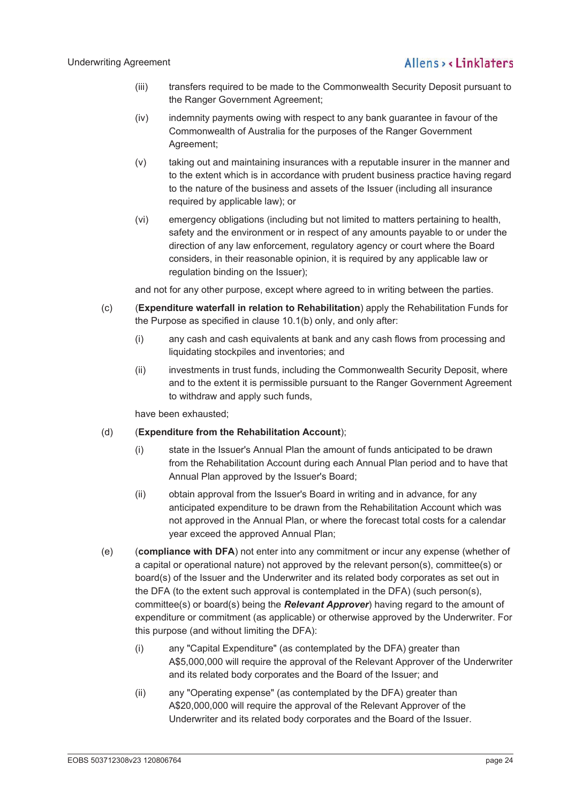- (iii) transfers required to be made to the Commonwealth Security Deposit pursuant to the Ranger Government Agreement;
- (iv) indemnity payments owing with respect to any bank guarantee in favour of the Commonwealth of Australia for the purposes of the Ranger Government Agreement;
- (v) taking out and maintaining insurances with a reputable insurer in the manner and to the extent which is in accordance with prudent business practice having regard to the nature of the business and assets of the Issuer (including all insurance required by applicable law); or
- (vi) emergency obligations (including but not limited to matters pertaining to health, safety and the environment or in respect of any amounts payable to or under the direction of any law enforcement, regulatory agency or court where the Board considers, in their reasonable opinion, it is required by any applicable law or regulation binding on the Issuer);

and not for any other purpose, except where agreed to in writing between the parties.

- (c) (**Expenditure waterfall in relation to Rehabilitation**) apply the Rehabilitation Funds for the Purpose as specified in clause 10.1(b) only, and only after:
	- (i) any cash and cash equivalents at bank and any cash flows from processing and liquidating stockpiles and inventories; and
	- (ii) investments in trust funds, including the Commonwealth Security Deposit, where and to the extent it is permissible pursuant to the Ranger Government Agreement to withdraw and apply such funds,

have been exhausted;

- (d) (**Expenditure from the Rehabilitation Account**);
	- (i) state in the Issuer's Annual Plan the amount of funds anticipated to be drawn from the Rehabilitation Account during each Annual Plan period and to have that Annual Plan approved by the Issuer's Board;
	- (ii) obtain approval from the Issuer's Board in writing and in advance, for any anticipated expenditure to be drawn from the Rehabilitation Account which was not approved in the Annual Plan, or where the forecast total costs for a calendar year exceed the approved Annual Plan;
- (e) (**compliance with DFA**) not enter into any commitment or incur any expense (whether of a capital or operational nature) not approved by the relevant person(s), committee(s) or board(s) of the Issuer and the Underwriter and its related body corporates as set out in the DFA (to the extent such approval is contemplated in the DFA) (such person(s), committee(s) or board(s) being the *Relevant Approver*) having regard to the amount of expenditure or commitment (as applicable) or otherwise approved by the Underwriter. For this purpose (and without limiting the DFA):
	- (i) any "Capital Expenditure" (as contemplated by the DFA) greater than A\$5,000,000 will require the approval of the Relevant Approver of the Underwriter and its related body corporates and the Board of the Issuer; and
	- (ii) any "Operating expense" (as contemplated by the DFA) greater than A\$20,000,000 will require the approval of the Relevant Approver of the Underwriter and its related body corporates and the Board of the Issuer.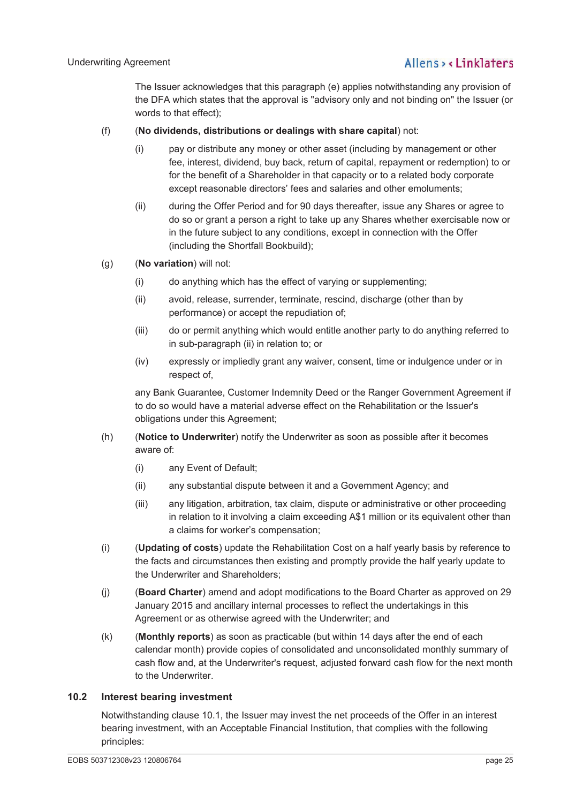The Issuer acknowledges that this paragraph (e) applies notwithstanding any provision of the DFA which states that the approval is "advisory only and not binding on" the Issuer (or words to that effect);

## (f) (**No dividends, distributions or dealings with share capital**) not:

- (i) pay or distribute any money or other asset (including by management or other fee, interest, dividend, buy back, return of capital, repayment or redemption) to or for the benefit of a Shareholder in that capacity or to a related body corporate except reasonable directors' fees and salaries and other emoluments;
- (ii) during the Offer Period and for 90 days thereafter, issue any Shares or agree to do so or grant a person a right to take up any Shares whether exercisable now or in the future subject to any conditions, except in connection with the Offer (including the Shortfall Bookbuild);
- (g) (**No variation**) will not:
	- (i) do anything which has the effect of varying or supplementing;
	- (ii) avoid, release, surrender, terminate, rescind, discharge (other than by performance) or accept the repudiation of;
	- (iii) do or permit anything which would entitle another party to do anything referred to in sub-paragraph (ii) in relation to; or
	- (iv) expressly or impliedly grant any waiver, consent, time or indulgence under or in respect of,

any Bank Guarantee, Customer Indemnity Deed or the Ranger Government Agreement if to do so would have a material adverse effect on the Rehabilitation or the Issuer's obligations under this Agreement;

- (h) (**Notice to Underwriter**) notify the Underwriter as soon as possible after it becomes aware of:
	- (i) any Event of Default;
	- (ii) any substantial dispute between it and a Government Agency; and
	- (iii) any litigation, arbitration, tax claim, dispute or administrative or other proceeding in relation to it involving a claim exceeding A\$1 million or its equivalent other than a claims for worker's compensation;
- (i) (**Updating of costs**) update the Rehabilitation Cost on a half yearly basis by reference to the facts and circumstances then existing and promptly provide the half yearly update to the Underwriter and Shareholders;
- (j) (**Board Charter**) amend and adopt modifications to the Board Charter as approved on 29 January 2015 and ancillary internal processes to reflect the undertakings in this Agreement or as otherwise agreed with the Underwriter; and
- (k) (**Monthly reports**) as soon as practicable (but within 14 days after the end of each calendar month) provide copies of consolidated and unconsolidated monthly summary of cash flow and, at the Underwriter's request, adjusted forward cash flow for the next month to the Underwriter.

## **10.2 Interest bearing investment**

Notwithstanding clause 10.1, the Issuer may invest the net proceeds of the Offer in an interest bearing investment, with an Acceptable Financial Institution, that complies with the following principles: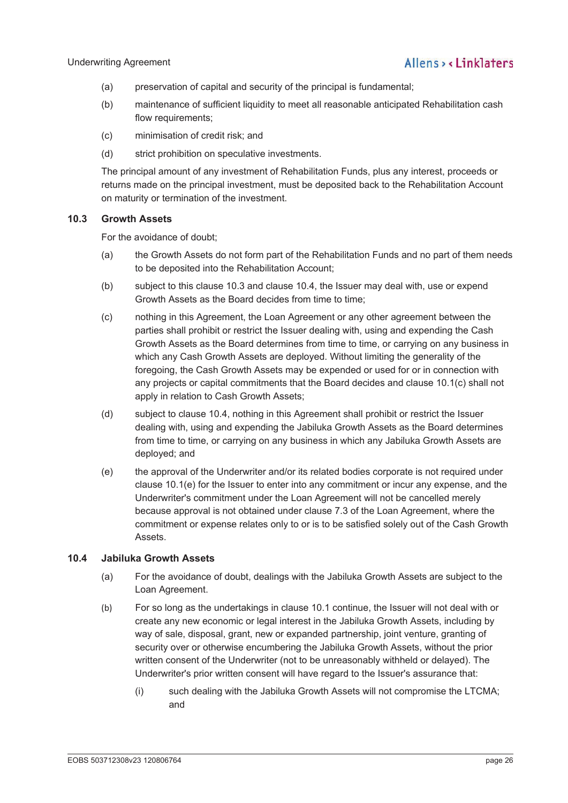- (a) preservation of capital and security of the principal is fundamental;
- (b) maintenance of sufficient liquidity to meet all reasonable anticipated Rehabilitation cash flow requirements;
- (c) minimisation of credit risk; and
- (d) strict prohibition on speculative investments.

The principal amount of any investment of Rehabilitation Funds, plus any interest, proceeds or returns made on the principal investment, must be deposited back to the Rehabilitation Account on maturity or termination of the investment.

## **10.3 Growth Assets**

For the avoidance of doubt;

- (a) the Growth Assets do not form part of the Rehabilitation Funds and no part of them needs to be deposited into the Rehabilitation Account;
- (b) subject to this clause 10.3 and clause 10.4, the Issuer may deal with, use or expend Growth Assets as the Board decides from time to time;
- (c) nothing in this Agreement, the Loan Agreement or any other agreement between the parties shall prohibit or restrict the Issuer dealing with, using and expending the Cash Growth Assets as the Board determines from time to time, or carrying on any business in which any Cash Growth Assets are deployed. Without limiting the generality of the foregoing, the Cash Growth Assets may be expended or used for or in connection with any projects or capital commitments that the Board decides and clause 10.1(c) shall not apply in relation to Cash Growth Assets;
- (d) subject to clause 10.4, nothing in this Agreement shall prohibit or restrict the Issuer dealing with, using and expending the Jabiluka Growth Assets as the Board determines from time to time, or carrying on any business in which any Jabiluka Growth Assets are deployed; and
- (e) the approval of the Underwriter and/or its related bodies corporate is not required under clause 10.1(e) for the Issuer to enter into any commitment or incur any expense, and the Underwriter's commitment under the Loan Agreement will not be cancelled merely because approval is not obtained under clause 7.3 of the Loan Agreement, where the commitment or expense relates only to or is to be satisfied solely out of the Cash Growth Assets.

## **10.4 Jabiluka Growth Assets**

- (a) For the avoidance of doubt, dealings with the Jabiluka Growth Assets are subject to the Loan Agreement.
- (b) For so long as the undertakings in clause 10.1 continue, the Issuer will not deal with or create any new economic or legal interest in the Jabiluka Growth Assets, including by way of sale, disposal, grant, new or expanded partnership, joint venture, granting of security over or otherwise encumbering the Jabiluka Growth Assets, without the prior written consent of the Underwriter (not to be unreasonably withheld or delayed). The Underwriter's prior written consent will have regard to the Issuer's assurance that:
	- (i) such dealing with the Jabiluka Growth Assets will not compromise the LTCMA; and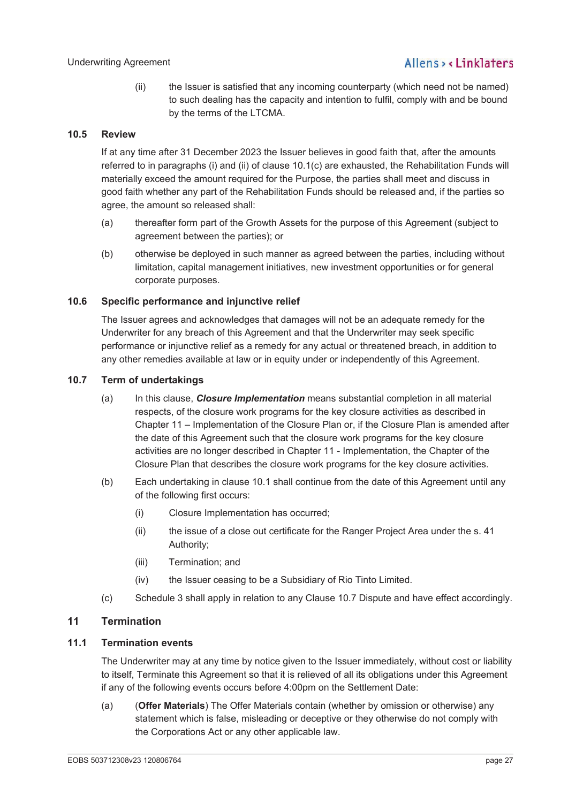(ii) the Issuer is satisfied that any incoming counterparty (which need not be named) to such dealing has the capacity and intention to fulfil, comply with and be bound by the terms of the LTCMA.

## **10.5 Review**

If at any time after 31 December 2023 the Issuer believes in good faith that, after the amounts referred to in paragraphs (i) and (ii) of clause 10.1(c) are exhausted, the Rehabilitation Funds will materially exceed the amount required for the Purpose, the parties shall meet and discuss in good faith whether any part of the Rehabilitation Funds should be released and, if the parties so agree, the amount so released shall:

- (a) thereafter form part of the Growth Assets for the purpose of this Agreement (subject to agreement between the parties); or
- (b) otherwise be deployed in such manner as agreed between the parties, including without limitation, capital management initiatives, new investment opportunities or for general corporate purposes.

## **10.6 Specific performance and injunctive relief**

The Issuer agrees and acknowledges that damages will not be an adequate remedy for the Underwriter for any breach of this Agreement and that the Underwriter may seek specific performance or injunctive relief as a remedy for any actual or threatened breach, in addition to any other remedies available at law or in equity under or independently of this Agreement.

## **10.7 Term of undertakings**

- (a) In this clause, *Closure Implementation* means substantial completion in all material respects, of the closure work programs for the key closure activities as described in Chapter 11 – Implementation of the Closure Plan or, if the Closure Plan is amended after the date of this Agreement such that the closure work programs for the key closure activities are no longer described in Chapter 11 - Implementation, the Chapter of the Closure Plan that describes the closure work programs for the key closure activities.
- (b) Each undertaking in clause 10.1 shall continue from the date of this Agreement until any of the following first occurs:
	- (i) Closure Implementation has occurred;
	- (ii) the issue of a close out certificate for the Ranger Project Area under the s. 41 Authority;
	- (iii) Termination; and
	- (iv) the Issuer ceasing to be a Subsidiary of Rio Tinto Limited.
- (c) Schedule 3 shall apply in relation to any Clause 10.7 Dispute and have effect accordingly.

## **11 Termination**

## **11.1 Termination events**

The Underwriter may at any time by notice given to the Issuer immediately, without cost or liability to itself, Terminate this Agreement so that it is relieved of all its obligations under this Agreement if any of the following events occurs before 4:00pm on the Settlement Date:

(a) (**Offer Materials**) The Offer Materials contain (whether by omission or otherwise) any statement which is false, misleading or deceptive or they otherwise do not comply with the Corporations Act or any other applicable law.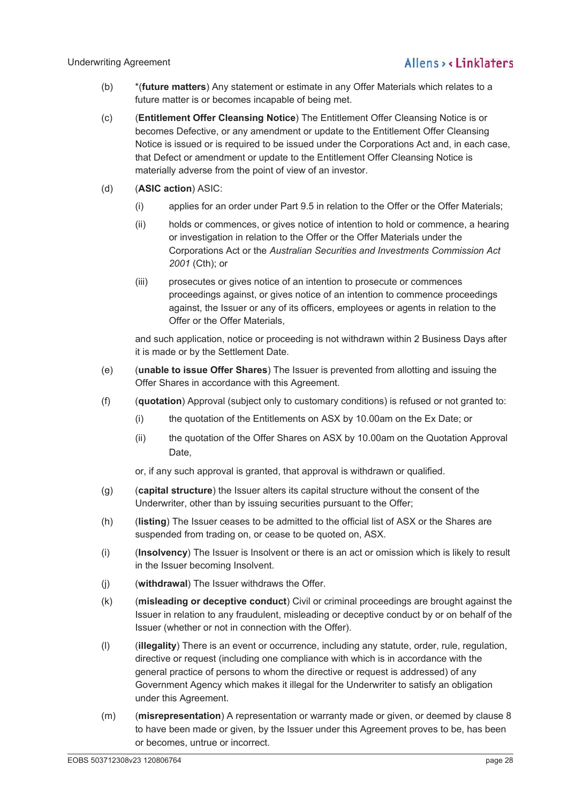- (b) \*(**future matters**) Any statement or estimate in any Offer Materials which relates to a future matter is or becomes incapable of being met.
- (c) (**Entitlement Offer Cleansing Notice**) The Entitlement Offer Cleansing Notice is or becomes Defective, or any amendment or update to the Entitlement Offer Cleansing Notice is issued or is required to be issued under the Corporations Act and, in each case, that Defect or amendment or update to the Entitlement Offer Cleansing Notice is materially adverse from the point of view of an investor.
- (d) (**ASIC action**) ASIC:
	- (i) applies for an order under Part 9.5 in relation to the Offer or the Offer Materials;
	- (ii) holds or commences, or gives notice of intention to hold or commence, a hearing or investigation in relation to the Offer or the Offer Materials under the Corporations Act or the *Australian Securities and Investments Commission Act 2001* (Cth); or
	- (iii) prosecutes or gives notice of an intention to prosecute or commences proceedings against, or gives notice of an intention to commence proceedings against, the Issuer or any of its officers, employees or agents in relation to the Offer or the Offer Materials,

and such application, notice or proceeding is not withdrawn within 2 Business Days after it is made or by the Settlement Date.

- (e) (**unable to issue Offer Shares**) The Issuer is prevented from allotting and issuing the Offer Shares in accordance with this Agreement.
- (f) (**quotation**) Approval (subject only to customary conditions) is refused or not granted to:
	- (i) the quotation of the Entitlements on ASX by 10.00am on the Ex Date; or
	- (ii) the quotation of the Offer Shares on ASX by 10.00am on the Quotation Approval Date,

or, if any such approval is granted, that approval is withdrawn or qualified.

- (g) (**capital structure**) the Issuer alters its capital structure without the consent of the Underwriter, other than by issuing securities pursuant to the Offer;
- (h) (**listing**) The Issuer ceases to be admitted to the official list of ASX or the Shares are suspended from trading on, or cease to be quoted on, ASX.
- (i) (**Insolvency**) The Issuer is Insolvent or there is an act or omission which is likely to result in the Issuer becoming Insolvent.
- (j) (**withdrawal**) The Issuer withdraws the Offer.
- (k) (**misleading or deceptive conduct**) Civil or criminal proceedings are brought against the Issuer in relation to any fraudulent, misleading or deceptive conduct by or on behalf of the Issuer (whether or not in connection with the Offer).
- (l) (**illegality**) There is an event or occurrence, including any statute, order, rule, regulation, directive or request (including one compliance with which is in accordance with the general practice of persons to whom the directive or request is addressed) of any Government Agency which makes it illegal for the Underwriter to satisfy an obligation under this Agreement.
- (m) (**misrepresentation**) A representation or warranty made or given, or deemed by clause 8 to have been made or given, by the Issuer under this Agreement proves to be, has been or becomes, untrue or incorrect.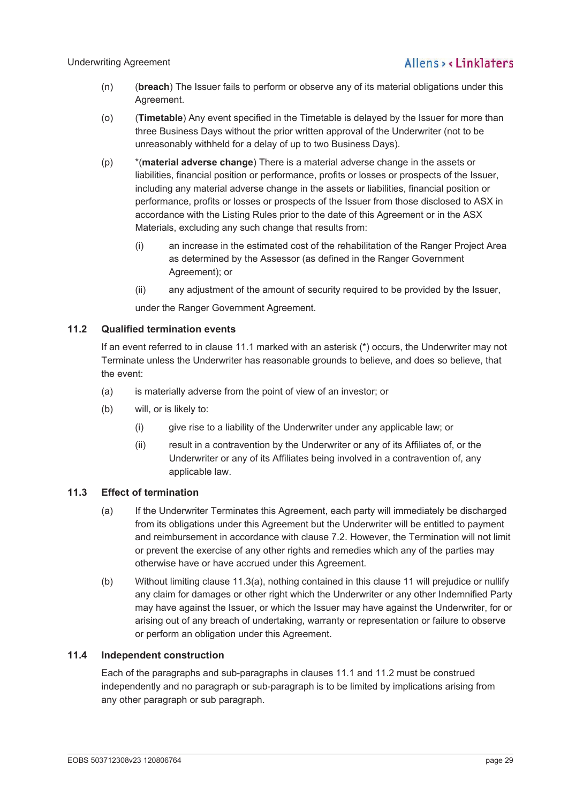- (n) (**breach**) The Issuer fails to perform or observe any of its material obligations under this Agreement.
- (o) (**Timetable**) Any event specified in the Timetable is delayed by the Issuer for more than three Business Days without the prior written approval of the Underwriter (not to be unreasonably withheld for a delay of up to two Business Days).
- (p) \*(**material adverse change**) There is a material adverse change in the assets or liabilities, financial position or performance, profits or losses or prospects of the Issuer, including any material adverse change in the assets or liabilities, financial position or performance, profits or losses or prospects of the Issuer from those disclosed to ASX in accordance with the Listing Rules prior to the date of this Agreement or in the ASX Materials, excluding any such change that results from:
	- (i) an increase in the estimated cost of the rehabilitation of the Ranger Project Area as determined by the Assessor (as defined in the Ranger Government Agreement); or
	- (ii) any adjustment of the amount of security required to be provided by the Issuer,

under the Ranger Government Agreement.

## **11.2 Qualified termination events**

If an event referred to in clause 11.1 marked with an asterisk (\*) occurs, the Underwriter may not Terminate unless the Underwriter has reasonable grounds to believe, and does so believe, that the event:

- (a) is materially adverse from the point of view of an investor; or
- (b) will, or is likely to:
	- (i) give rise to a liability of the Underwriter under any applicable law; or
	- (ii) result in a contravention by the Underwriter or any of its Affiliates of, or the Underwriter or any of its Affiliates being involved in a contravention of, any applicable law.

## **11.3 Effect of termination**

- (a) If the Underwriter Terminates this Agreement, each party will immediately be discharged from its obligations under this Agreement but the Underwriter will be entitled to payment and reimbursement in accordance with clause 7.2. However, the Termination will not limit or prevent the exercise of any other rights and remedies which any of the parties may otherwise have or have accrued under this Agreement.
- (b) Without limiting clause 11.3(a), nothing contained in this clause 11 will prejudice or nullify any claim for damages or other right which the Underwriter or any other Indemnified Party may have against the Issuer, or which the Issuer may have against the Underwriter, for or arising out of any breach of undertaking, warranty or representation or failure to observe or perform an obligation under this Agreement.

## **11.4 Independent construction**

Each of the paragraphs and sub-paragraphs in clauses 11.1 and 11.2 must be construed independently and no paragraph or sub-paragraph is to be limited by implications arising from any other paragraph or sub paragraph.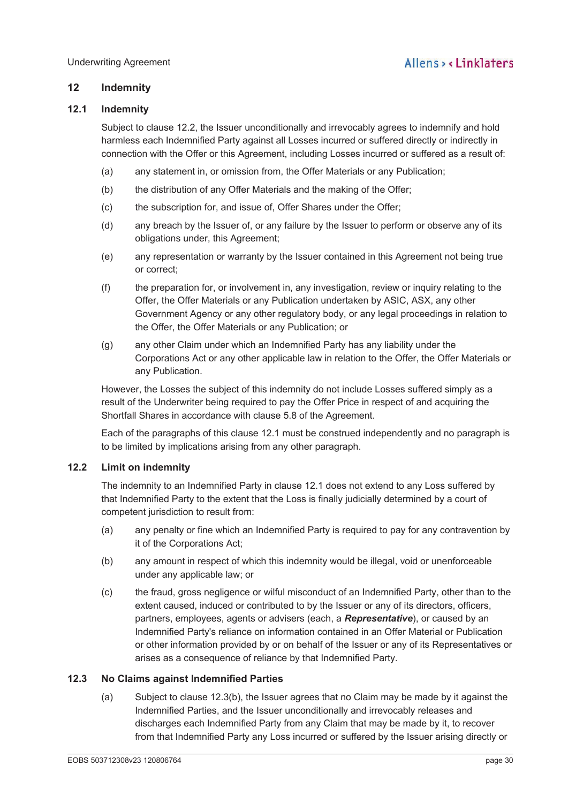## **12 Indemnity**

## **12.1 Indemnity**

Subject to clause 12.2, the Issuer unconditionally and irrevocably agrees to indemnify and hold harmless each Indemnified Party against all Losses incurred or suffered directly or indirectly in connection with the Offer or this Agreement, including Losses incurred or suffered as a result of:

- (a) any statement in, or omission from, the Offer Materials or any Publication;
- (b) the distribution of any Offer Materials and the making of the Offer;
- (c) the subscription for, and issue of, Offer Shares under the Offer;
- (d) any breach by the Issuer of, or any failure by the Issuer to perform or observe any of its obligations under, this Agreement;
- (e) any representation or warranty by the Issuer contained in this Agreement not being true or correct;
- (f) the preparation for, or involvement in, any investigation, review or inquiry relating to the Offer, the Offer Materials or any Publication undertaken by ASIC, ASX, any other Government Agency or any other regulatory body, or any legal proceedings in relation to the Offer, the Offer Materials or any Publication; or
- (g) any other Claim under which an Indemnified Party has any liability under the Corporations Act or any other applicable law in relation to the Offer, the Offer Materials or any Publication.

However, the Losses the subject of this indemnity do not include Losses suffered simply as a result of the Underwriter being required to pay the Offer Price in respect of and acquiring the Shortfall Shares in accordance with clause 5.8 of the Agreement.

Each of the paragraphs of this clause 12.1 must be construed independently and no paragraph is to be limited by implications arising from any other paragraph.

## **12.2 Limit on indemnity**

The indemnity to an Indemnified Party in clause 12.1 does not extend to any Loss suffered by that Indemnified Party to the extent that the Loss is finally judicially determined by a court of competent jurisdiction to result from:

- (a) any penalty or fine which an Indemnified Party is required to pay for any contravention by it of the Corporations Act;
- (b) any amount in respect of which this indemnity would be illegal, void or unenforceable under any applicable law; or
- (c) the fraud, gross negligence or wilful misconduct of an Indemnified Party, other than to the extent caused, induced or contributed to by the Issuer or any of its directors, officers, partners, employees, agents or advisers (each, a *Representative*), or caused by an Indemnified Party's reliance on information contained in an Offer Material or Publication or other information provided by or on behalf of the Issuer or any of its Representatives or arises as a consequence of reliance by that Indemnified Party.

### **12.3 No Claims against Indemnified Parties**

(a) Subject to clause 12.3(b), the Issuer agrees that no Claim may be made by it against the Indemnified Parties, and the Issuer unconditionally and irrevocably releases and discharges each Indemnified Party from any Claim that may be made by it, to recover from that Indemnified Party any Loss incurred or suffered by the Issuer arising directly or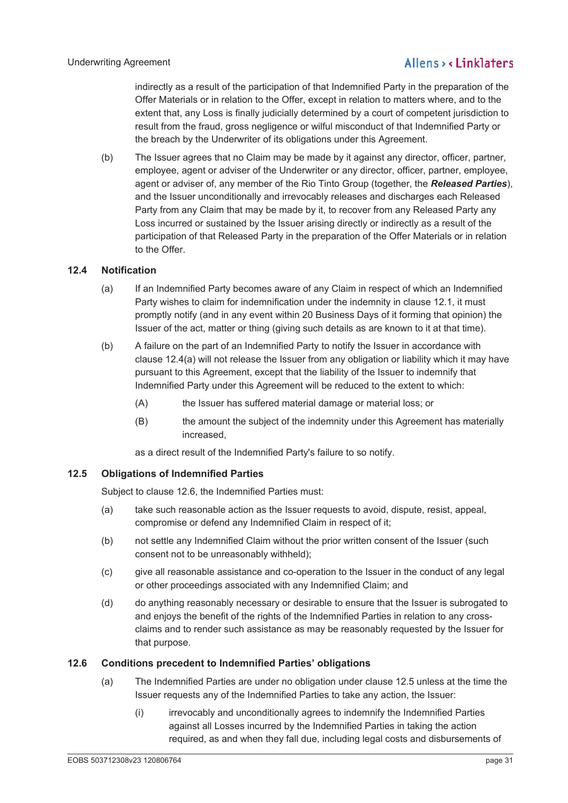indirectly as a result of the participation of that Indemnified Party in the preparation of the Offer Materials or in relation to the Offer, except in relation to matters where, and to the extent that, any Loss is finally judicially determined by a court of competent jurisdiction to result from the fraud, gross negligence or wilful misconduct of that Indemnified Party or the breach by the Underwriter of its obligations under this Agreement.

(b) The Issuer agrees that no Claim may be made by it against any director, officer, partner, employee, agent or adviser of the Underwriter or any director, officer, partner, employee, agent or adviser of, any member of the Rio Tinto Group (together, the *Released Parties*), and the Issuer unconditionally and irrevocably releases and discharges each Released Party from any Claim that may be made by it, to recover from any Released Party any Loss incurred or sustained by the Issuer arising directly or indirectly as a result of the participation of that Released Party in the preparation of the Offer Materials or in relation to the Offer.

## **12.4 Notification**

- (a) If an Indemnified Party becomes aware of any Claim in respect of which an Indemnified Party wishes to claim for indemnification under the indemnity in clause 12.1, it must promptly notify (and in any event within 20 Business Days of it forming that opinion) the Issuer of the act, matter or thing (giving such details as are known to it at that time).
- (b) A failure on the part of an Indemnified Party to notify the Issuer in accordance with clause 12.4(a) will not release the Issuer from any obligation or liability which it may have pursuant to this Agreement, except that the liability of the Issuer to indemnify that Indemnified Party under this Agreement will be reduced to the extent to which:
	- (A) the Issuer has suffered material damage or material loss; or
	- (B) the amount the subject of the indemnity under this Agreement has materially increased,

as a direct result of the Indemnified Party's failure to so notify.

### **12.5 Obligations of Indemnified Parties**

Subject to clause 12.6, the Indemnified Parties must:

- (a) take such reasonable action as the Issuer requests to avoid, dispute, resist, appeal, compromise or defend any Indemnified Claim in respect of it;
- (b) not settle any Indemnified Claim without the prior written consent of the Issuer (such consent not to be unreasonably withheld);
- (c) give all reasonable assistance and co-operation to the Issuer in the conduct of any legal or other proceedings associated with any Indemnified Claim; and
- (d) do anything reasonably necessary or desirable to ensure that the Issuer is subrogated to and enjoys the benefit of the rights of the Indemnified Parties in relation to any crossclaims and to render such assistance as may be reasonably requested by the Issuer for that purpose.

### **12.6 Conditions precedent to Indemnified Parties' obligations**

- (a) The Indemnified Parties are under no obligation under clause 12.5 unless at the time the Issuer requests any of the Indemnified Parties to take any action, the Issuer:
	- (i) irrevocably and unconditionally agrees to indemnify the Indemnified Parties against all Losses incurred by the Indemnified Parties in taking the action required, as and when they fall due, including legal costs and disbursements of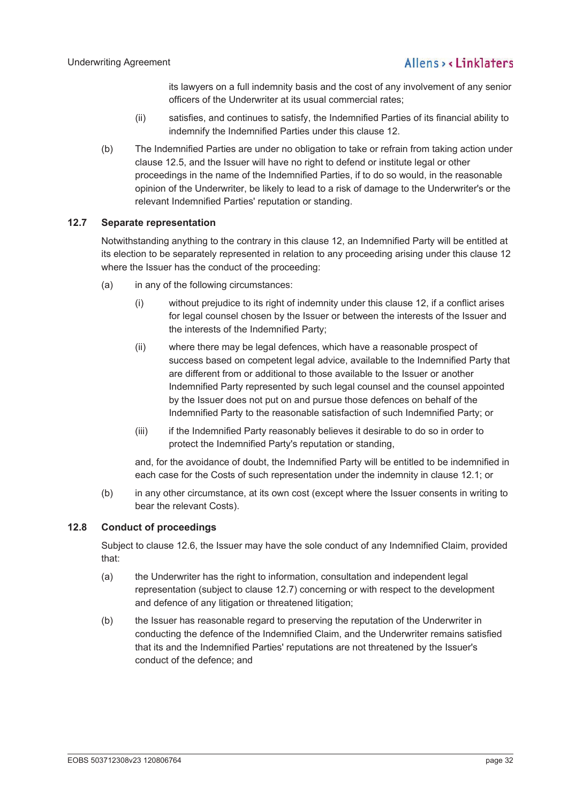its lawyers on a full indemnity basis and the cost of any involvement of any senior officers of the Underwriter at its usual commercial rates;

- (ii) satisfies, and continues to satisfy, the Indemnified Parties of its financial ability to indemnify the Indemnified Parties under this clause 12.
- (b) The Indemnified Parties are under no obligation to take or refrain from taking action under clause 12.5, and the Issuer will have no right to defend or institute legal or other proceedings in the name of the Indemnified Parties, if to do so would, in the reasonable opinion of the Underwriter, be likely to lead to a risk of damage to the Underwriter's or the relevant Indemnified Parties' reputation or standing.

## **12.7 Separate representation**

Notwithstanding anything to the contrary in this clause 12, an Indemnified Party will be entitled at its election to be separately represented in relation to any proceeding arising under this clause 12 where the Issuer has the conduct of the proceeding:

- (a) in any of the following circumstances:
	- (i) without prejudice to its right of indemnity under this clause 12, if a conflict arises for legal counsel chosen by the Issuer or between the interests of the Issuer and the interests of the Indemnified Party;
	- (ii) where there may be legal defences, which have a reasonable prospect of success based on competent legal advice, available to the Indemnified Party that are different from or additional to those available to the Issuer or another Indemnified Party represented by such legal counsel and the counsel appointed by the Issuer does not put on and pursue those defences on behalf of the Indemnified Party to the reasonable satisfaction of such Indemnified Party; or
	- (iii) if the Indemnified Party reasonably believes it desirable to do so in order to protect the Indemnified Party's reputation or standing,

and, for the avoidance of doubt, the Indemnified Party will be entitled to be indemnified in each case for the Costs of such representation under the indemnity in clause 12.1; or

(b) in any other circumstance, at its own cost (except where the Issuer consents in writing to bear the relevant Costs).

## **12.8 Conduct of proceedings**

Subject to clause 12.6, the Issuer may have the sole conduct of any Indemnified Claim, provided that:

- (a) the Underwriter has the right to information, consultation and independent legal representation (subject to clause 12.7) concerning or with respect to the development and defence of any litigation or threatened litigation;
- (b) the Issuer has reasonable regard to preserving the reputation of the Underwriter in conducting the defence of the Indemnified Claim, and the Underwriter remains satisfied that its and the Indemnified Parties' reputations are not threatened by the Issuer's conduct of the defence; and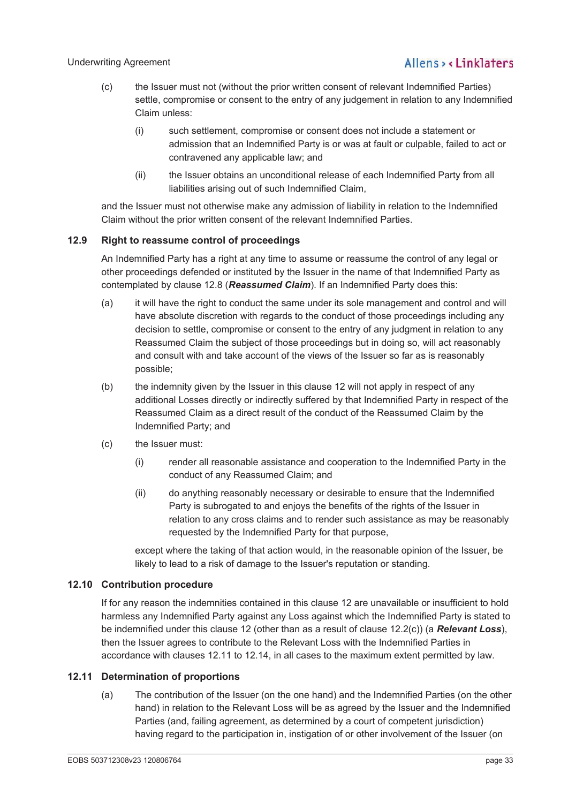### Underwriting Agreement

## Allens, linklaters

- (c) the Issuer must not (without the prior written consent of relevant Indemnified Parties) settle, compromise or consent to the entry of any judgement in relation to any Indemnified Claim unless:
	- (i) such settlement, compromise or consent does not include a statement or admission that an Indemnified Party is or was at fault or culpable, failed to act or contravened any applicable law; and
	- (ii) the Issuer obtains an unconditional release of each Indemnified Party from all liabilities arising out of such Indemnified Claim,

and the Issuer must not otherwise make any admission of liability in relation to the Indemnified Claim without the prior written consent of the relevant Indemnified Parties.

## **12.9 Right to reassume control of proceedings**

An Indemnified Party has a right at any time to assume or reassume the control of any legal or other proceedings defended or instituted by the Issuer in the name of that Indemnified Party as contemplated by clause 12.8 (*Reassumed Claim*). If an Indemnified Party does this:

- (a) it will have the right to conduct the same under its sole management and control and will have absolute discretion with regards to the conduct of those proceedings including any decision to settle, compromise or consent to the entry of any judgment in relation to any Reassumed Claim the subject of those proceedings but in doing so, will act reasonably and consult with and take account of the views of the Issuer so far as is reasonably possible;
- (b) the indemnity given by the Issuer in this clause 12 will not apply in respect of any additional Losses directly or indirectly suffered by that Indemnified Party in respect of the Reassumed Claim as a direct result of the conduct of the Reassumed Claim by the Indemnified Party; and
- (c) the Issuer must:
	- (i) render all reasonable assistance and cooperation to the Indemnified Party in the conduct of any Reassumed Claim; and
	- (ii) do anything reasonably necessary or desirable to ensure that the Indemnified Party is subrogated to and enjoys the benefits of the rights of the Issuer in relation to any cross claims and to render such assistance as may be reasonably requested by the Indemnified Party for that purpose,

except where the taking of that action would, in the reasonable opinion of the Issuer, be likely to lead to a risk of damage to the Issuer's reputation or standing.

### **12.10 Contribution procedure**

If for any reason the indemnities contained in this clause 12 are unavailable or insufficient to hold harmless any Indemnified Party against any Loss against which the Indemnified Party is stated to be indemnified under this clause 12 (other than as a result of clause 12.2(c)) (a *Relevant Loss*), then the Issuer agrees to contribute to the Relevant Loss with the Indemnified Parties in accordance with clauses 12.11 to 12.14, in all cases to the maximum extent permitted by law.

## **12.11 Determination of proportions**

(a) The contribution of the Issuer (on the one hand) and the Indemnified Parties (on the other hand) in relation to the Relevant Loss will be as agreed by the Issuer and the Indemnified Parties (and, failing agreement, as determined by a court of competent jurisdiction) having regard to the participation in, instigation of or other involvement of the Issuer (on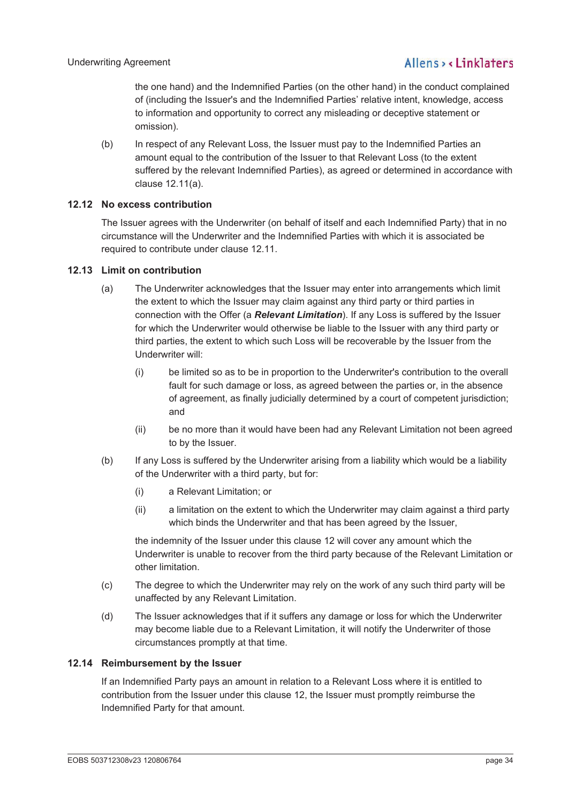the one hand) and the Indemnified Parties (on the other hand) in the conduct complained of (including the Issuer's and the Indemnified Parties' relative intent, knowledge, access to information and opportunity to correct any misleading or deceptive statement or omission).

(b) In respect of any Relevant Loss, the Issuer must pay to the Indemnified Parties an amount equal to the contribution of the Issuer to that Relevant Loss (to the extent suffered by the relevant Indemnified Parties), as agreed or determined in accordance with clause 12.11(a).

## **12.12 No excess contribution**

The Issuer agrees with the Underwriter (on behalf of itself and each Indemnified Party) that in no circumstance will the Underwriter and the Indemnified Parties with which it is associated be required to contribute under clause 12.11.

## **12.13 Limit on contribution**

- (a) The Underwriter acknowledges that the Issuer may enter into arrangements which limit the extent to which the Issuer may claim against any third party or third parties in connection with the Offer (a *Relevant Limitation*). If any Loss is suffered by the Issuer for which the Underwriter would otherwise be liable to the Issuer with any third party or third parties, the extent to which such Loss will be recoverable by the Issuer from the Underwriter will:
	- (i) be limited so as to be in proportion to the Underwriter's contribution to the overall fault for such damage or loss, as agreed between the parties or, in the absence of agreement, as finally judicially determined by a court of competent jurisdiction; and
	- (ii) be no more than it would have been had any Relevant Limitation not been agreed to by the Issuer.
- (b) If any Loss is suffered by the Underwriter arising from a liability which would be a liability of the Underwriter with a third party, but for:
	- (i) a Relevant Limitation; or
	- (ii) a limitation on the extent to which the Underwriter may claim against a third party which binds the Underwriter and that has been agreed by the Issuer,

the indemnity of the Issuer under this clause 12 will cover any amount which the Underwriter is unable to recover from the third party because of the Relevant Limitation or other limitation.

- (c) The degree to which the Underwriter may rely on the work of any such third party will be unaffected by any Relevant Limitation.
- (d) The Issuer acknowledges that if it suffers any damage or loss for which the Underwriter may become liable due to a Relevant Limitation, it will notify the Underwriter of those circumstances promptly at that time.

### **12.14 Reimbursement by the Issuer**

If an Indemnified Party pays an amount in relation to a Relevant Loss where it is entitled to contribution from the Issuer under this clause 12, the Issuer must promptly reimburse the Indemnified Party for that amount.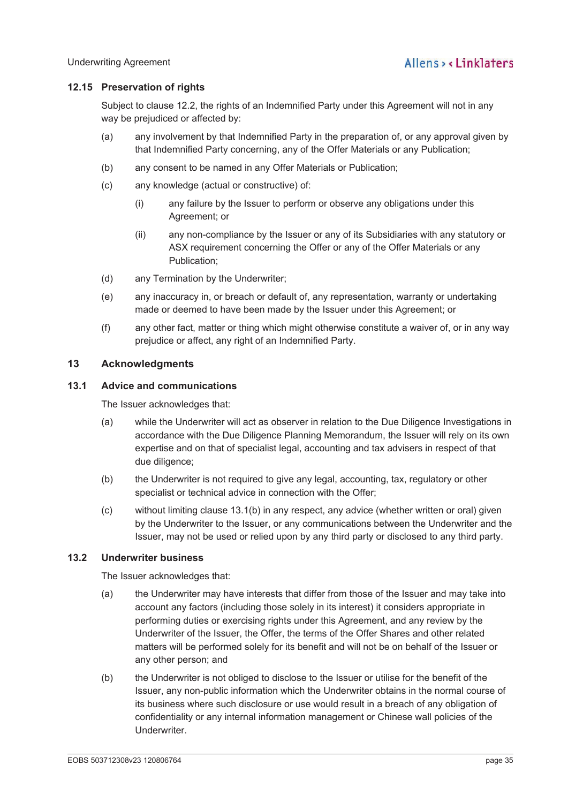## **12.15 Preservation of rights**

Subject to clause 12.2, the rights of an Indemnified Party under this Agreement will not in any way be prejudiced or affected by:

- (a) any involvement by that Indemnified Party in the preparation of, or any approval given by that Indemnified Party concerning, any of the Offer Materials or any Publication;
- (b) any consent to be named in any Offer Materials or Publication;
- (c) any knowledge (actual or constructive) of:
	- (i) any failure by the Issuer to perform or observe any obligations under this Agreement; or
	- (ii) any non-compliance by the Issuer or any of its Subsidiaries with any statutory or ASX requirement concerning the Offer or any of the Offer Materials or any Publication;
- (d) any Termination by the Underwriter;
- (e) any inaccuracy in, or breach or default of, any representation, warranty or undertaking made or deemed to have been made by the Issuer under this Agreement; or
- (f) any other fact, matter or thing which might otherwise constitute a waiver of, or in any way prejudice or affect, any right of an Indemnified Party.

## **13 Acknowledgments**

#### **13.1 Advice and communications**

The Issuer acknowledges that:

- (a) while the Underwriter will act as observer in relation to the Due Diligence Investigations in accordance with the Due Diligence Planning Memorandum, the Issuer will rely on its own expertise and on that of specialist legal, accounting and tax advisers in respect of that due diligence;
- (b) the Underwriter is not required to give any legal, accounting, tax, regulatory or other specialist or technical advice in connection with the Offer;
- (c) without limiting clause 13.1(b) in any respect, any advice (whether written or oral) given by the Underwriter to the Issuer, or any communications between the Underwriter and the Issuer, may not be used or relied upon by any third party or disclosed to any third party.

## **13.2 Underwriter business**

The Issuer acknowledges that:

- (a) the Underwriter may have interests that differ from those of the Issuer and may take into account any factors (including those solely in its interest) it considers appropriate in performing duties or exercising rights under this Agreement, and any review by the Underwriter of the Issuer, the Offer, the terms of the Offer Shares and other related matters will be performed solely for its benefit and will not be on behalf of the Issuer or any other person; and
- (b) the Underwriter is not obliged to disclose to the Issuer or utilise for the benefit of the Issuer, any non-public information which the Underwriter obtains in the normal course of its business where such disclosure or use would result in a breach of any obligation of confidentiality or any internal information management or Chinese wall policies of the Underwriter.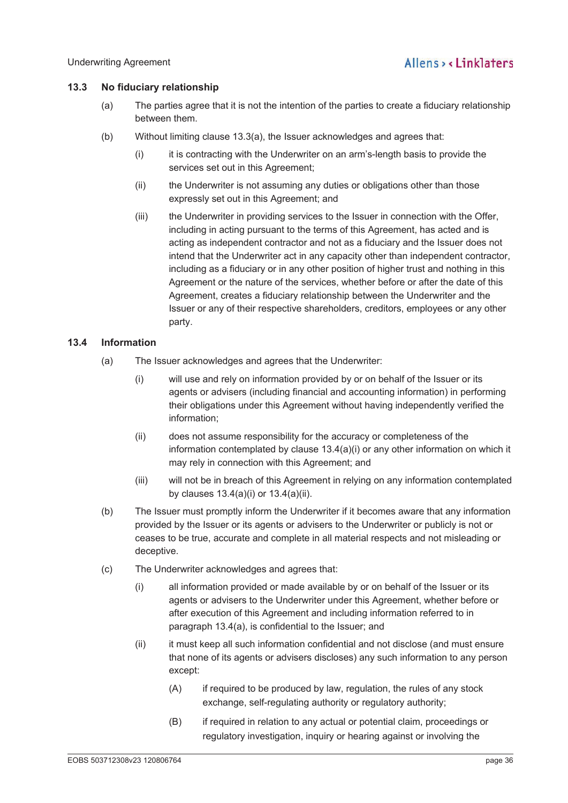## **13.3 No fiduciary relationship**

- (a) The parties agree that it is not the intention of the parties to create a fiduciary relationship between them.
- (b) Without limiting clause 13.3(a), the Issuer acknowledges and agrees that:
	- (i) it is contracting with the Underwriter on an arm's-length basis to provide the services set out in this Agreement;
	- (ii) the Underwriter is not assuming any duties or obligations other than those expressly set out in this Agreement; and
	- (iii) the Underwriter in providing services to the Issuer in connection with the Offer, including in acting pursuant to the terms of this Agreement, has acted and is acting as independent contractor and not as a fiduciary and the Issuer does not intend that the Underwriter act in any capacity other than independent contractor, including as a fiduciary or in any other position of higher trust and nothing in this Agreement or the nature of the services, whether before or after the date of this Agreement, creates a fiduciary relationship between the Underwriter and the Issuer or any of their respective shareholders, creditors, employees or any other party.

## **13.4 Information**

- (a) The Issuer acknowledges and agrees that the Underwriter:
	- (i) will use and rely on information provided by or on behalf of the Issuer or its agents or advisers (including financial and accounting information) in performing their obligations under this Agreement without having independently verified the information;
	- (ii) does not assume responsibility for the accuracy or completeness of the information contemplated by clause 13.4(a)(i) or any other information on which it may rely in connection with this Agreement; and
	- (iii) will not be in breach of this Agreement in relying on any information contemplated by clauses 13.4(a)(i) or 13.4(a)(ii).
- (b) The Issuer must promptly inform the Underwriter if it becomes aware that any information provided by the Issuer or its agents or advisers to the Underwriter or publicly is not or ceases to be true, accurate and complete in all material respects and not misleading or deceptive.
- (c) The Underwriter acknowledges and agrees that:
	- (i) all information provided or made available by or on behalf of the Issuer or its agents or advisers to the Underwriter under this Agreement, whether before or after execution of this Agreement and including information referred to in paragraph 13.4(a), is confidential to the Issuer; and
	- (ii) it must keep all such information confidential and not disclose (and must ensure that none of its agents or advisers discloses) any such information to any person except:
		- (A) if required to be produced by law, regulation, the rules of any stock exchange, self-regulating authority or regulatory authority;
		- (B) if required in relation to any actual or potential claim, proceedings or regulatory investigation, inquiry or hearing against or involving the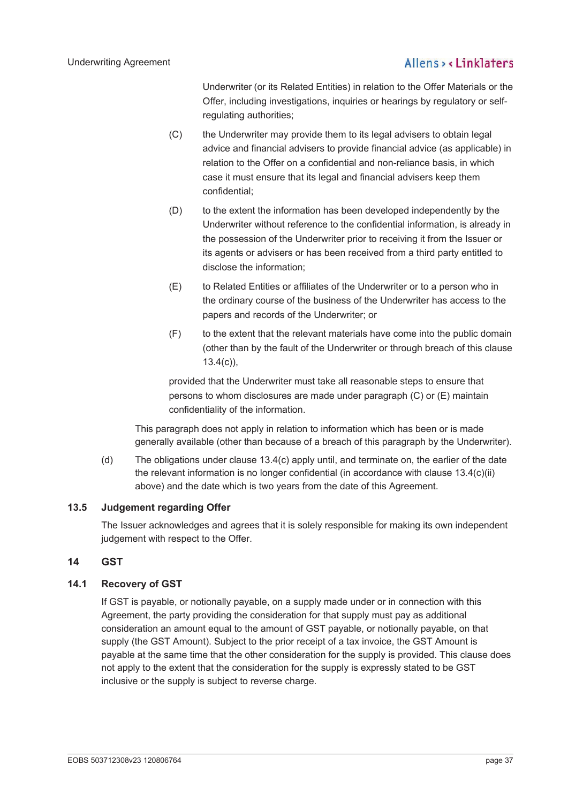Underwriter (or its Related Entities) in relation to the Offer Materials or the Offer, including investigations, inquiries or hearings by regulatory or selfregulating authorities;

- (C) the Underwriter may provide them to its legal advisers to obtain legal advice and financial advisers to provide financial advice (as applicable) in relation to the Offer on a confidential and non-reliance basis, in which case it must ensure that its legal and financial advisers keep them confidential;
- (D) to the extent the information has been developed independently by the Underwriter without reference to the confidential information, is already in the possession of the Underwriter prior to receiving it from the Issuer or its agents or advisers or has been received from a third party entitled to disclose the information;
- (E) to Related Entities or affiliates of the Underwriter or to a person who in the ordinary course of the business of the Underwriter has access to the papers and records of the Underwriter; or
- (F) to the extent that the relevant materials have come into the public domain (other than by the fault of the Underwriter or through breach of this clause 13.4(c)),

provided that the Underwriter must take all reasonable steps to ensure that persons to whom disclosures are made under paragraph (C) or (E) maintain confidentiality of the information.

This paragraph does not apply in relation to information which has been or is made generally available (other than because of a breach of this paragraph by the Underwriter).

(d) The obligations under clause 13.4(c) apply until, and terminate on, the earlier of the date the relevant information is no longer confidential (in accordance with clause 13.4(c)(ii) above) and the date which is two years from the date of this Agreement.

## **13.5 Judgement regarding Offer**

The Issuer acknowledges and agrees that it is solely responsible for making its own independent judgement with respect to the Offer.

## **14 GST**

## **14.1 Recovery of GST**

If GST is payable, or notionally payable, on a supply made under or in connection with this Agreement, the party providing the consideration for that supply must pay as additional consideration an amount equal to the amount of GST payable, or notionally payable, on that supply (the GST Amount). Subject to the prior receipt of a tax invoice, the GST Amount is payable at the same time that the other consideration for the supply is provided. This clause does not apply to the extent that the consideration for the supply is expressly stated to be GST inclusive or the supply is subject to reverse charge.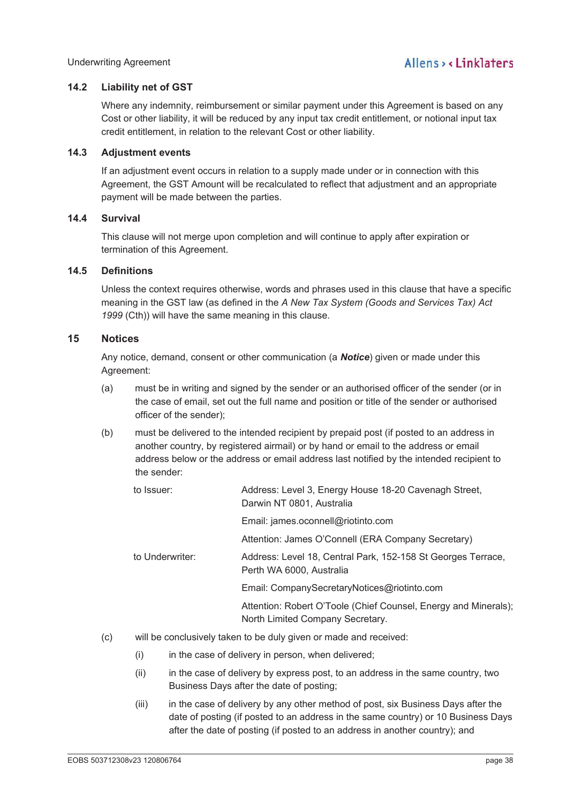## **14.2 Liability net of GST**

Where any indemnity, reimbursement or similar payment under this Agreement is based on any Cost or other liability, it will be reduced by any input tax credit entitlement, or notional input tax credit entitlement, in relation to the relevant Cost or other liability.

### **14.3 Adjustment events**

If an adjustment event occurs in relation to a supply made under or in connection with this Agreement, the GST Amount will be recalculated to reflect that adjustment and an appropriate payment will be made between the parties.

## **14.4 Survival**

This clause will not merge upon completion and will continue to apply after expiration or termination of this Agreement.

### **14.5 Definitions**

Unless the context requires otherwise, words and phrases used in this clause that have a specific meaning in the GST law (as defined in the *A New Tax System (Goods and Services Tax) Act 1999* (Cth)) will have the same meaning in this clause.

## **15 Notices**

Any notice, demand, consent or other communication (a *Notice*) given or made under this Agreement:

- (a) must be in writing and signed by the sender or an authorised officer of the sender (or in the case of email, set out the full name and position or title of the sender or authorised officer of the sender);
- (b) must be delivered to the intended recipient by prepaid post (if posted to an address in another country, by registered airmail) or by hand or email to the address or email address below or the address or email address last notified by the intended recipient to the sender:

| to Issuer:      | Address: Level 3, Energy House 18-20 Cavenagh Street,<br>Darwin NT 0801, Australia                  |
|-----------------|-----------------------------------------------------------------------------------------------------|
|                 | Email: james.oconnell@riotinto.com                                                                  |
|                 | Attention: James O'Connell (ERA Company Secretary)                                                  |
| to Underwriter: | Address: Level 18, Central Park, 152-158 St Georges Terrace,<br>Perth WA 6000, Australia            |
|                 | Email: CompanySecretaryNotices@riotinto.com                                                         |
|                 | Attention: Robert O'Toole (Chief Counsel, Energy and Minerals);<br>North Limited Company Secretary. |

- (c) will be conclusively taken to be duly given or made and received:
	- (i) in the case of delivery in person, when delivered;
	- (ii) in the case of delivery by express post, to an address in the same country, two Business Days after the date of posting;
	- (iii) in the case of delivery by any other method of post, six Business Days after the date of posting (if posted to an address in the same country) or 10 Business Days after the date of posting (if posted to an address in another country); and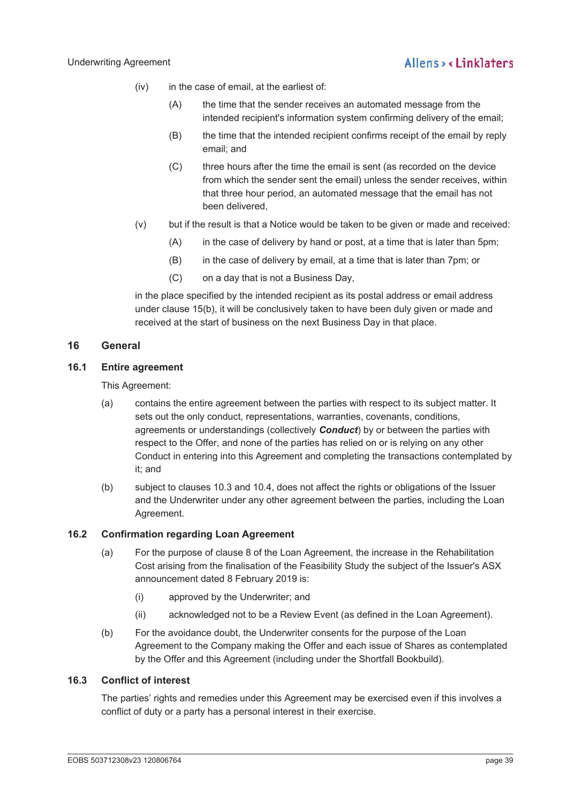- (iv) in the case of email, at the earliest of:
	- (A) the time that the sender receives an automated message from the intended recipient's information system confirming delivery of the email;
	- (B) the time that the intended recipient confirms receipt of the email by reply email; and
	- (C) three hours after the time the email is sent (as recorded on the device from which the sender sent the email) unless the sender receives, within that three hour period, an automated message that the email has not been delivered,
- (v) but if the result is that a Notice would be taken to be given or made and received:
	- (A) in the case of delivery by hand or post, at a time that is later than 5pm;
	- (B) in the case of delivery by email, at a time that is later than 7pm; or
	- (C) on a day that is not a Business Day,

in the place specified by the intended recipient as its postal address or email address under clause 15(b), it will be conclusively taken to have been duly given or made and received at the start of business on the next Business Day in that place.

## **16 General**

### **16.1 Entire agreement**

This Agreement:

- (a) contains the entire agreement between the parties with respect to its subject matter. It sets out the only conduct, representations, warranties, covenants, conditions, agreements or understandings (collectively *Conduct*) by or between the parties with respect to the Offer, and none of the parties has relied on or is relying on any other Conduct in entering into this Agreement and completing the transactions contemplated by it; and
- (b) subject to clauses 10.3 and 10.4, does not affect the rights or obligations of the Issuer and the Underwriter under any other agreement between the parties, including the Loan Agreement.

## **16.2 Confirmation regarding Loan Agreement**

- (a) For the purpose of clause 8 of the Loan Agreement, the increase in the Rehabilitation Cost arising from the finalisation of the Feasibility Study the subject of the Issuer's ASX announcement dated 8 February 2019 is:
	- (i) approved by the Underwriter; and
	- (ii) acknowledged not to be a Review Event (as defined in the Loan Agreement).
- (b) For the avoidance doubt, the Underwriter consents for the purpose of the Loan Agreement to the Company making the Offer and each issue of Shares as contemplated by the Offer and this Agreement (including under the Shortfall Bookbuild).

### **16.3 Conflict of interest**

The parties' rights and remedies under this Agreement may be exercised even if this involves a conflict of duty or a party has a personal interest in their exercise.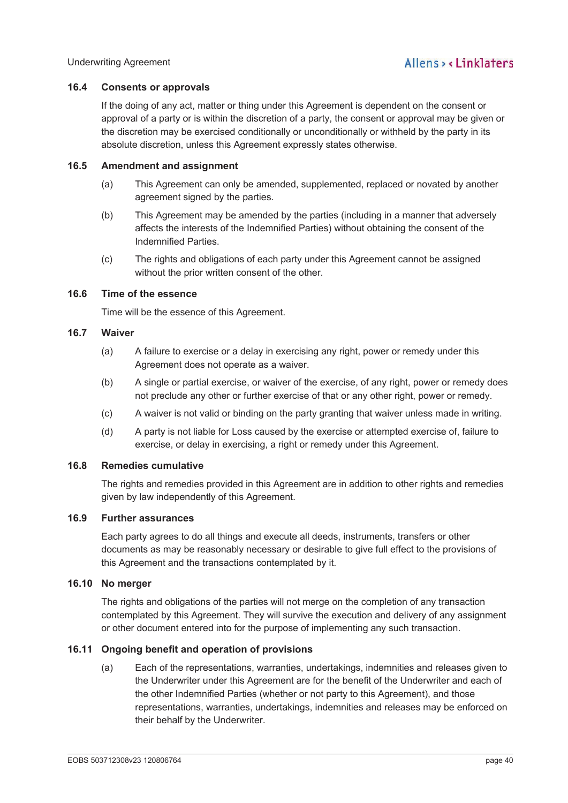## **16.4 Consents or approvals**

If the doing of any act, matter or thing under this Agreement is dependent on the consent or approval of a party or is within the discretion of a party, the consent or approval may be given or the discretion may be exercised conditionally or unconditionally or withheld by the party in its absolute discretion, unless this Agreement expressly states otherwise.

## **16.5 Amendment and assignment**

- (a) This Agreement can only be amended, supplemented, replaced or novated by another agreement signed by the parties.
- (b) This Agreement may be amended by the parties (including in a manner that adversely affects the interests of the Indemnified Parties) without obtaining the consent of the Indemnified Parties.
- (c) The rights and obligations of each party under this Agreement cannot be assigned without the prior written consent of the other.

## **16.6 Time of the essence**

Time will be the essence of this Agreement.

## **16.7 Waiver**

- (a) A failure to exercise or a delay in exercising any right, power or remedy under this Agreement does not operate as a waiver.
- (b) A single or partial exercise, or waiver of the exercise, of any right, power or remedy does not preclude any other or further exercise of that or any other right, power or remedy.
- (c) A waiver is not valid or binding on the party granting that waiver unless made in writing.
- (d) A party is not liable for Loss caused by the exercise or attempted exercise of, failure to exercise, or delay in exercising, a right or remedy under this Agreement.

## **16.8 Remedies cumulative**

The rights and remedies provided in this Agreement are in addition to other rights and remedies given by law independently of this Agreement.

## **16.9 Further assurances**

Each party agrees to do all things and execute all deeds, instruments, transfers or other documents as may be reasonably necessary or desirable to give full effect to the provisions of this Agreement and the transactions contemplated by it.

## **16.10 No merger**

The rights and obligations of the parties will not merge on the completion of any transaction contemplated by this Agreement. They will survive the execution and delivery of any assignment or other document entered into for the purpose of implementing any such transaction.

## **16.11 Ongoing benefit and operation of provisions**

(a) Each of the representations, warranties, undertakings, indemnities and releases given to the Underwriter under this Agreement are for the benefit of the Underwriter and each of the other Indemnified Parties (whether or not party to this Agreement), and those representations, warranties, undertakings, indemnities and releases may be enforced on their behalf by the Underwriter.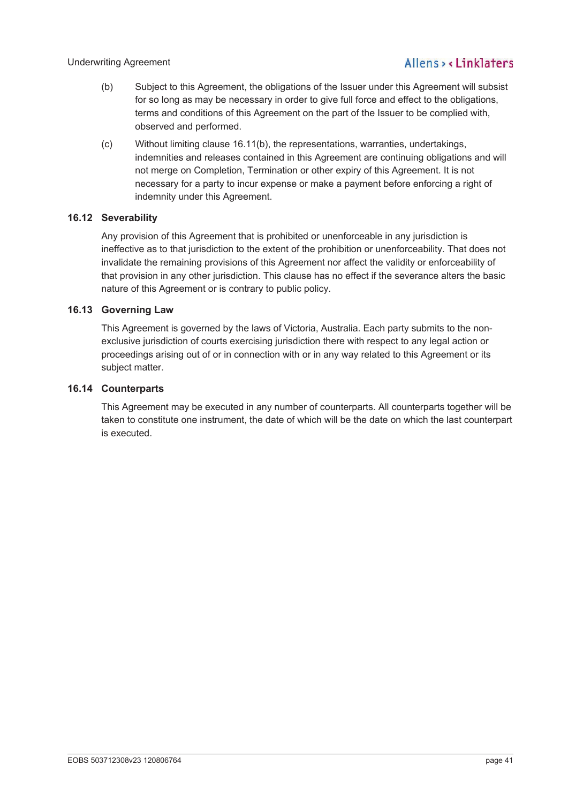- (b) Subject to this Agreement, the obligations of the Issuer under this Agreement will subsist for so long as may be necessary in order to give full force and effect to the obligations, terms and conditions of this Agreement on the part of the Issuer to be complied with, observed and performed.
- (c) Without limiting clause 16.11(b), the representations, warranties, undertakings, indemnities and releases contained in this Agreement are continuing obligations and will not merge on Completion, Termination or other expiry of this Agreement. It is not necessary for a party to incur expense or make a payment before enforcing a right of indemnity under this Agreement.

## **16.12 Severability**

Any provision of this Agreement that is prohibited or unenforceable in any jurisdiction is ineffective as to that jurisdiction to the extent of the prohibition or unenforceability. That does not invalidate the remaining provisions of this Agreement nor affect the validity or enforceability of that provision in any other jurisdiction. This clause has no effect if the severance alters the basic nature of this Agreement or is contrary to public policy.

## **16.13 Governing Law**

This Agreement is governed by the laws of Victoria, Australia. Each party submits to the nonexclusive jurisdiction of courts exercising jurisdiction there with respect to any legal action or proceedings arising out of or in connection with or in any way related to this Agreement or its subject matter.

### **16.14 Counterparts**

This Agreement may be executed in any number of counterparts. All counterparts together will be taken to constitute one instrument, the date of which will be the date on which the last counterpart is executed.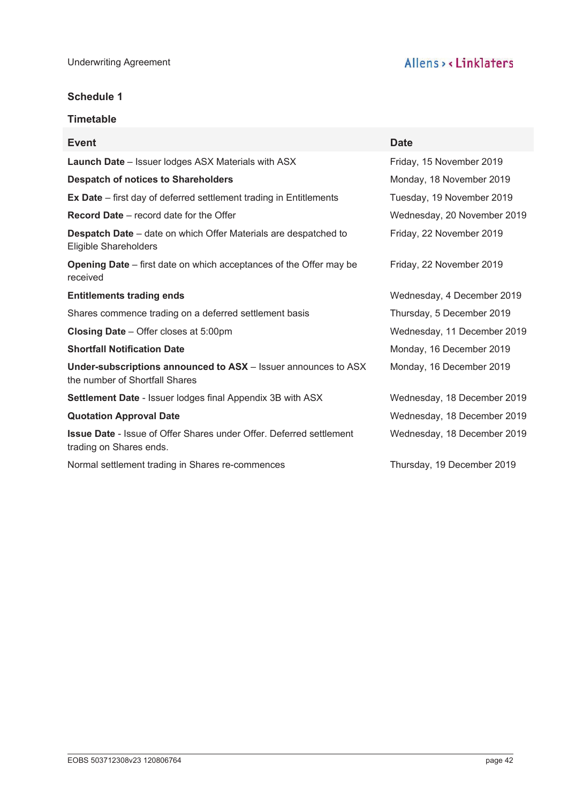## **Schedule 1**

## **Timetable**

| <b>Event</b>                                                                                          | <b>Date</b>                 |
|-------------------------------------------------------------------------------------------------------|-----------------------------|
| <b>Launch Date</b> - Issuer lodges ASX Materials with ASX                                             | Friday, 15 November 2019    |
| <b>Despatch of notices to Shareholders</b>                                                            | Monday, 18 November 2019    |
| <b>Ex Date</b> – first day of deferred settlement trading in Entitlements                             | Tuesday, 19 November 2019   |
| <b>Record Date</b> – record date for the Offer                                                        | Wednesday, 20 November 2019 |
| <b>Despatch Date</b> – date on which Offer Materials are despatched to<br>Eligible Shareholders       | Friday, 22 November 2019    |
| <b>Opening Date</b> – first date on which acceptances of the Offer may be<br>received                 | Friday, 22 November 2019    |
| <b>Entitlements trading ends</b>                                                                      | Wednesday, 4 December 2019  |
| Shares commence trading on a deferred settlement basis                                                | Thursday, 5 December 2019   |
| <b>Closing Date</b> – Offer closes at 5:00pm                                                          | Wednesday, 11 December 2019 |
| <b>Shortfall Notification Date</b>                                                                    | Monday, 16 December 2019    |
| Under-subscriptions announced to ASX - Issuer announces to ASX<br>the number of Shortfall Shares      | Monday, 16 December 2019    |
| <b>Settlement Date - Issuer lodges final Appendix 3B with ASX</b>                                     | Wednesday, 18 December 2019 |
| <b>Quotation Approval Date</b>                                                                        | Wednesday, 18 December 2019 |
| <b>Issue Date - Issue of Offer Shares under Offer. Deferred settlement</b><br>trading on Shares ends. | Wednesday, 18 December 2019 |
| Normal settlement trading in Shares re-commences                                                      | Thursday, 19 December 2019  |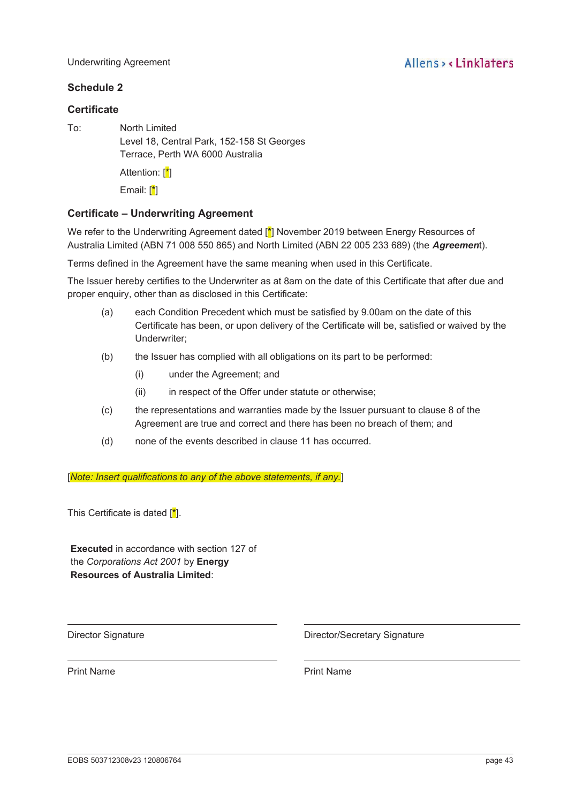#### Underwriting Agreement

## **Schedule 2**

## **Certificate**

To: North Limited Level 18, Central Park, 152-158 St Georges Terrace, Perth WA 6000 Australia Attention: [<sup>\*</sup>]

Email: [\*]

## **Certificate – Underwriting Agreement**

We refer to the Underwriting Agreement dated [ $\frac{1}{2}$ ] November 2019 between Energy Resources of Australia Limited (ABN 71 008 550 865) and North Limited (ABN 22 005 233 689) (the *Agreemen*t).

Terms defined in the Agreement have the same meaning when used in this Certificate.

The Issuer hereby certifies to the Underwriter as at 8am on the date of this Certificate that after due and proper enquiry, other than as disclosed in this Certificate:

- (a) each Condition Precedent which must be satisfied by 9.00am on the date of this Certificate has been, or upon delivery of the Certificate will be, satisfied or waived by the Underwriter;
- (b) the Issuer has complied with all obligations on its part to be performed:
	- (i) under the Agreement; and
	- (ii) in respect of the Offer under statute or otherwise;
- (c) the representations and warranties made by the Issuer pursuant to clause 8 of the Agreement are true and correct and there has been no breach of them; and
- (d) none of the events described in clause 11 has occurred.

[*Note: Insert qualifications to any of the above statements, if any.*]

This Certificate is dated  $\left[\frac{*}{\cdot}\right]$ .

**Executed** in accordance with section 127 of the *Corporations Act 2001* by **Energy Resources of Australia Limited**:

Director Signature **Director/Secretary Signature** Director/Secretary Signature

Print Name **Print Name**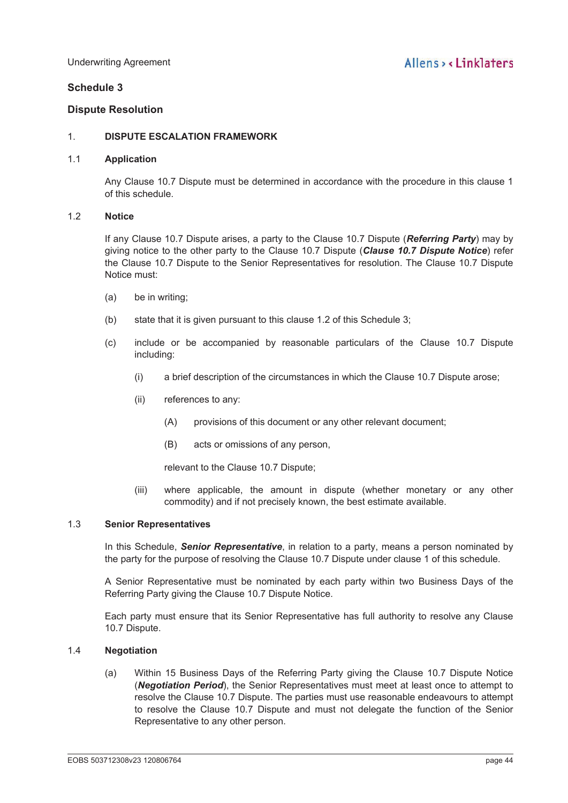## **Schedule 3**

## **Dispute Resolution**

## 1. **DISPUTE ESCALATION FRAMEWORK**

#### 1.1 **Application**

Any Clause 10.7 Dispute must be determined in accordance with the procedure in this clause 1 of this schedule.

#### 1.2 **Notice**

If any Clause 10.7 Dispute arises, a party to the Clause 10.7 Dispute (*Referring Party*) may by giving notice to the other party to the Clause 10.7 Dispute (*Clause 10.7 Dispute Notice*) refer the Clause 10.7 Dispute to the Senior Representatives for resolution. The Clause 10.7 Dispute Notice must:

- (a) be in writing;
- (b) state that it is given pursuant to this clause 1.2 of this Schedule 3;
- (c) include or be accompanied by reasonable particulars of the Clause 10.7 Dispute including:
	- (i) a brief description of the circumstances in which the Clause 10.7 Dispute arose;
	- (ii) references to any:
		- (A) provisions of this document or any other relevant document;
		- (B) acts or omissions of any person,

relevant to the Clause 10.7 Dispute;

(iii) where applicable, the amount in dispute (whether monetary or any other commodity) and if not precisely known, the best estimate available.

### 1.3 **Senior Representatives**

In this Schedule, *Senior Representative*, in relation to a party, means a person nominated by the party for the purpose of resolving the Clause 10.7 Dispute under clause 1 of this schedule.

A Senior Representative must be nominated by each party within two Business Days of the Referring Party giving the Clause 10.7 Dispute Notice.

Each party must ensure that its Senior Representative has full authority to resolve any Clause 10.7 Dispute.

### 1.4 **Negotiation**

(a) Within 15 Business Days of the Referring Party giving the Clause 10.7 Dispute Notice (*Negotiation Period*), the Senior Representatives must meet at least once to attempt to resolve the Clause 10.7 Dispute. The parties must use reasonable endeavours to attempt to resolve the Clause 10.7 Dispute and must not delegate the function of the Senior Representative to any other person.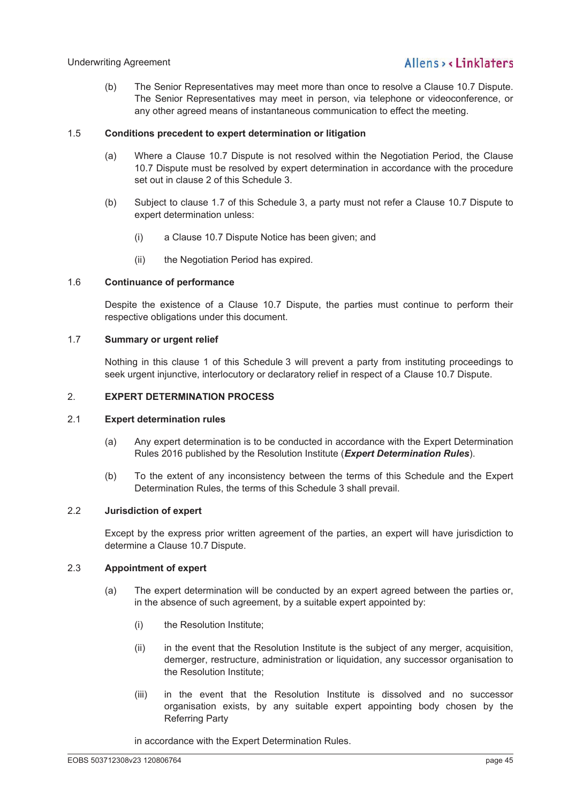(b) The Senior Representatives may meet more than once to resolve a Clause 10.7 Dispute. The Senior Representatives may meet in person, via telephone or videoconference, or any other agreed means of instantaneous communication to effect the meeting.

## 1.5 **Conditions precedent to expert determination or litigation**

- (a) Where a Clause 10.7 Dispute is not resolved within the Negotiation Period, the Clause 10.7 Dispute must be resolved by expert determination in accordance with the procedure set out in clause 2 of this Schedule 3.
- (b) Subject to clause 1.7 of this Schedule 3, a party must not refer a Clause 10.7 Dispute to expert determination unless:
	- (i) a Clause 10.7 Dispute Notice has been given; and
	- (ii) the Negotiation Period has expired.

## 1.6 **Continuance of performance**

Despite the existence of a Clause 10.7 Dispute, the parties must continue to perform their respective obligations under this document.

## 1.7 **Summary or urgent relief**

Nothing in this clause 1 of this Schedule 3 will prevent a party from instituting proceedings to seek urgent injunctive, interlocutory or declaratory relief in respect of a Clause 10.7 Dispute.

## 2. **EXPERT DETERMINATION PROCESS**

### 2.1 **Expert determination rules**

- (a) Any expert determination is to be conducted in accordance with the Expert Determination Rules 2016 published by the Resolution Institute (*Expert Determination Rules*).
- (b) To the extent of any inconsistency between the terms of this Schedule and the Expert Determination Rules, the terms of this Schedule 3 shall prevail.

## 2.2 **Jurisdiction of expert**

Except by the express prior written agreement of the parties, an expert will have jurisdiction to determine a Clause 10.7 Dispute.

## 2.3 **Appointment of expert**

- (a) The expert determination will be conducted by an expert agreed between the parties or, in the absence of such agreement, by a suitable expert appointed by:
	- (i) the Resolution Institute;
	- (ii) in the event that the Resolution Institute is the subject of any merger, acquisition, demerger, restructure, administration or liquidation, any successor organisation to the Resolution Institute;
	- (iii) in the event that the Resolution Institute is dissolved and no successor organisation exists, by any suitable expert appointing body chosen by the Referring Party

in accordance with the Expert Determination Rules.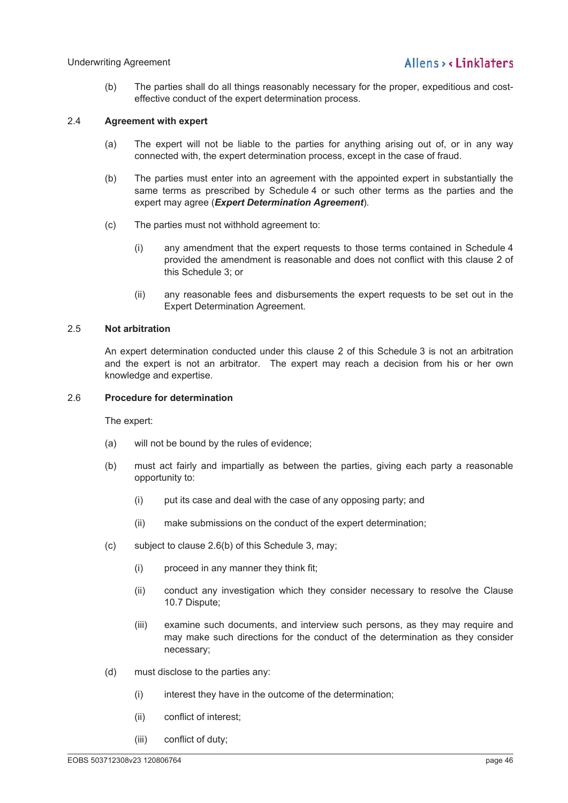(b) The parties shall do all things reasonably necessary for the proper, expeditious and costeffective conduct of the expert determination process.

#### 2.4 **Agreement with expert**

- (a) The expert will not be liable to the parties for anything arising out of, or in any way connected with, the expert determination process, except in the case of fraud.
- (b) The parties must enter into an agreement with the appointed expert in substantially the same terms as prescribed by Schedule 4 or such other terms as the parties and the expert may agree (*Expert Determination Agreement*).
- (c) The parties must not withhold agreement to:
	- (i) any amendment that the expert requests to those terms contained in Schedule 4 provided the amendment is reasonable and does not conflict with this clause 2 of this Schedule 3; or
	- (ii) any reasonable fees and disbursements the expert requests to be set out in the Expert Determination Agreement.

### 2.5 **Not arbitration**

An expert determination conducted under this clause 2 of this Schedule 3 is not an arbitration and the expert is not an arbitrator. The expert may reach a decision from his or her own knowledge and expertise.

#### 2.6 **Procedure for determination**

The expert:

- (a) will not be bound by the rules of evidence;
- (b) must act fairly and impartially as between the parties, giving each party a reasonable opportunity to:
	- (i) put its case and deal with the case of any opposing party; and
	- (ii) make submissions on the conduct of the expert determination;
- (c) subject to clause 2.6(b) of this Schedule 3, may;
	- (i) proceed in any manner they think fit;
	- (ii) conduct any investigation which they consider necessary to resolve the Clause 10.7 Dispute;
	- (iii) examine such documents, and interview such persons, as they may require and may make such directions for the conduct of the determination as they consider necessary;
- (d) must disclose to the parties any:
	- (i) interest they have in the outcome of the determination;
	- (ii) conflict of interest;
	- (iii) conflict of duty;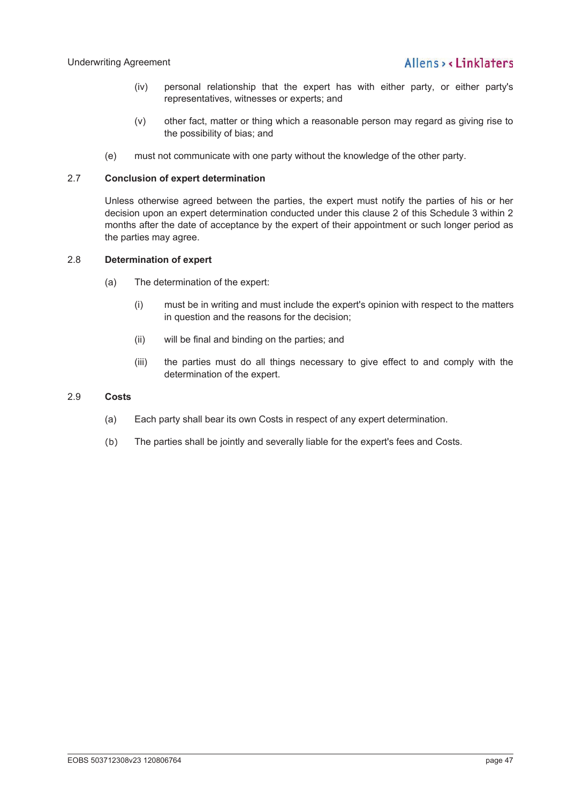- (iv) personal relationship that the expert has with either party, or either party's representatives, witnesses or experts; and
- (v) other fact, matter or thing which a reasonable person may regard as giving rise to the possibility of bias; and
- (e) must not communicate with one party without the knowledge of the other party.

## 2.7 **Conclusion of expert determination**

Unless otherwise agreed between the parties, the expert must notify the parties of his or her decision upon an expert determination conducted under this clause 2 of this Schedule 3 within 2 months after the date of acceptance by the expert of their appointment or such longer period as the parties may agree.

### 2.8 **Determination of expert**

- (a) The determination of the expert:
	- (i) must be in writing and must include the expert's opinion with respect to the matters in question and the reasons for the decision;
	- (ii) will be final and binding on the parties; and
	- (iii) the parties must do all things necessary to give effect to and comply with the determination of the expert.

#### 2.9 **Costs**

- (a) Each party shall bear its own Costs in respect of any expert determination.
- (b) The parties shall be jointly and severally liable for the expert's fees and Costs.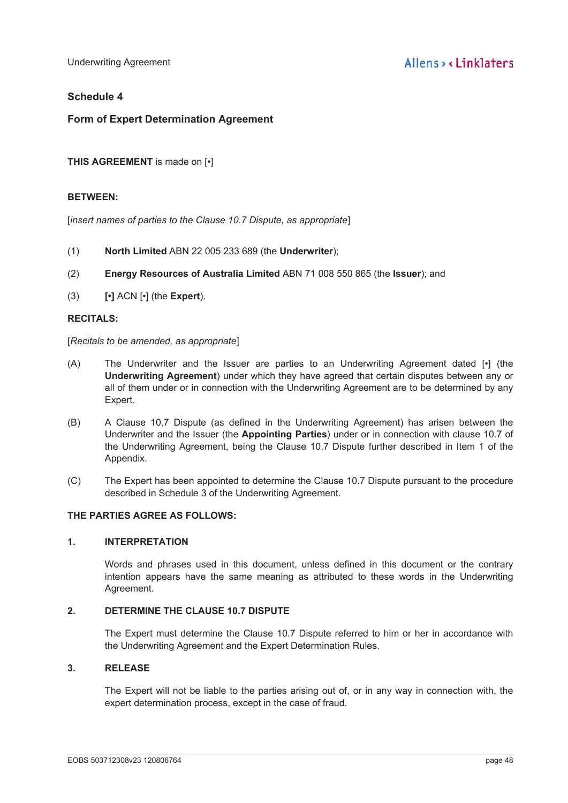Underwriting Agreement

## **Schedule 4**

## **Form of Expert Determination Agreement**

**THIS AGREEMENT** is made on [•]

#### **BETWEEN:**

[*insert names of parties to the Clause 10.7 Dispute, as appropriate*]

- (1) **North Limited** ABN 22 005 233 689 (the **Underwriter**);
- (2) **Energy Resources of Australia Limited** ABN 71 008 550 865 (the **Issuer**); and
- (3) **[•]** ACN [•] (the **Expert**).

#### **RECITALS:**

[*Recitals to be amended, as appropriate*]

- (A) The Underwriter and the Issuer are parties to an Underwriting Agreement dated [•] (the **Underwriting Agreement**) under which they have agreed that certain disputes between any or all of them under or in connection with the Underwriting Agreement are to be determined by any Expert.
- (B) A Clause 10.7 Dispute (as defined in the Underwriting Agreement) has arisen between the Underwriter and the Issuer (the **Appointing Parties**) under or in connection with clause 10.7 of the Underwriting Agreement, being the Clause 10.7 Dispute further described in Item 1 of the Appendix.
- (C) The Expert has been appointed to determine the Clause 10.7 Dispute pursuant to the procedure described in Schedule 3 of the Underwriting Agreement.

## **THE PARTIES AGREE AS FOLLOWS:**

### **1. INTERPRETATION**

Words and phrases used in this document, unless defined in this document or the contrary intention appears have the same meaning as attributed to these words in the Underwriting Agreement.

#### **2. DETERMINE THE CLAUSE 10.7 DISPUTE**

The Expert must determine the Clause 10.7 Dispute referred to him or her in accordance with the Underwriting Agreement and the Expert Determination Rules.

#### **3. RELEASE**

The Expert will not be liable to the parties arising out of, or in any way in connection with, the expert determination process, except in the case of fraud.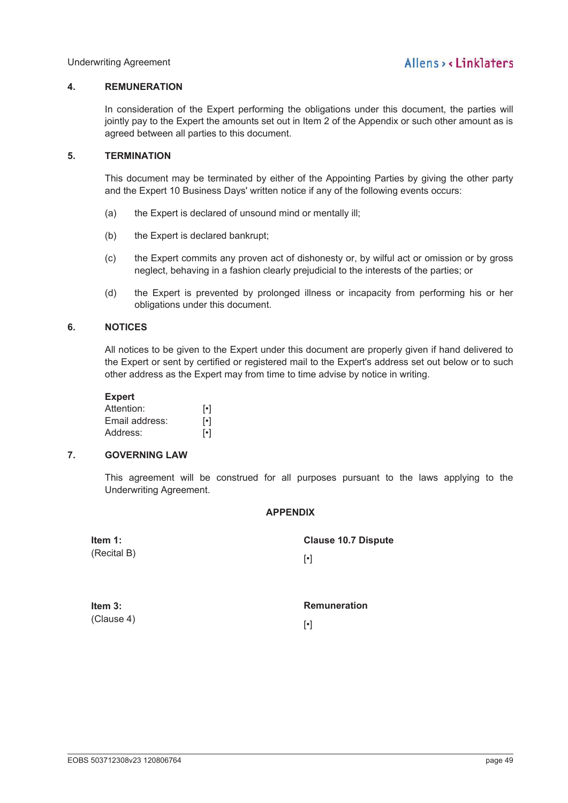### **4. REMUNERATION**

In consideration of the Expert performing the obligations under this document, the parties will jointly pay to the Expert the amounts set out in Item 2 of the Appendix or such other amount as is agreed between all parties to this document.

#### **5. TERMINATION**

This document may be terminated by either of the Appointing Parties by giving the other party and the Expert 10 Business Days' written notice if any of the following events occurs:

- (a) the Expert is declared of unsound mind or mentally ill;
- (b) the Expert is declared bankrupt;
- (c) the Expert commits any proven act of dishonesty or, by wilful act or omission or by gross neglect, behaving in a fashion clearly prejudicial to the interests of the parties; or
- (d) the Expert is prevented by prolonged illness or incapacity from performing his or her obligations under this document.

#### **6. NOTICES**

All notices to be given to the Expert under this document are properly given if hand delivered to the Expert or sent by certified or registered mail to the Expert's address set out below or to such other address as the Expert may from time to time advise by notice in writing.

#### **Expert**

| Attention:     | $\lceil \cdot \rceil$ |
|----------------|-----------------------|
| Email address: | $\lceil \cdot \rceil$ |
| Address:       | $\lceil \cdot \rceil$ |

## **7. GOVERNING LAW**

This agreement will be construed for all purposes pursuant to the laws applying to the Underwriting Agreement.

#### **APPENDIX**

| Item $1:$<br>(Recital B) | <b>Clause 10.7 Dispute</b><br>$\lceil \cdot \rceil$ |
|--------------------------|-----------------------------------------------------|
| Item $3:$<br>(Clause 4)  | <b>Remuneration</b>                                 |
|                          | $\lceil \cdot \rceil$                               |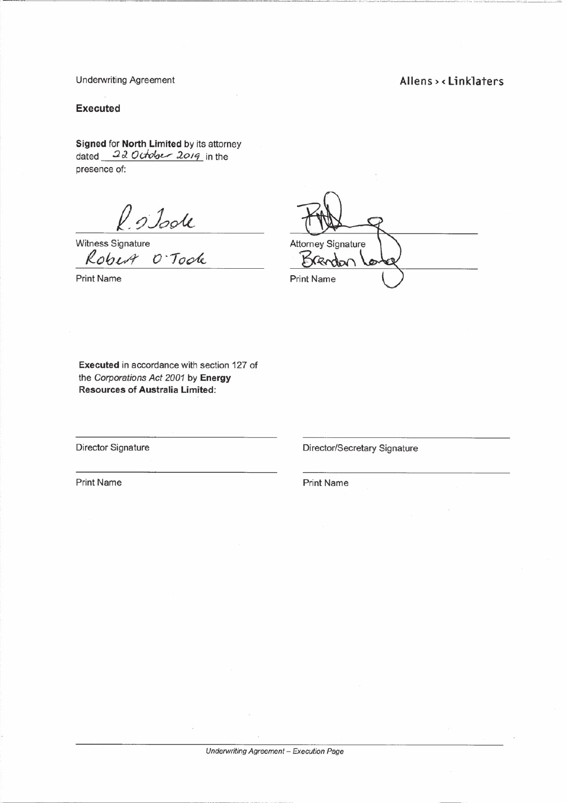## Allens > < Linklaters

ź.

**Underwriting Agreement** 

#### **Executed**

Signed for North Limited by its attorney dated 22 October 2019 in the presence of:

Robert O'Toole

**Print Name** 

**Attorney Signature** Y **Print Name** 

Executed in accordance with section 127 of the Corporations Act 2001 by Energy **Resources of Australia Limited:** 

**Director Signature** 

Director/Secretary Signature

**Print Name** 

**Print Name**